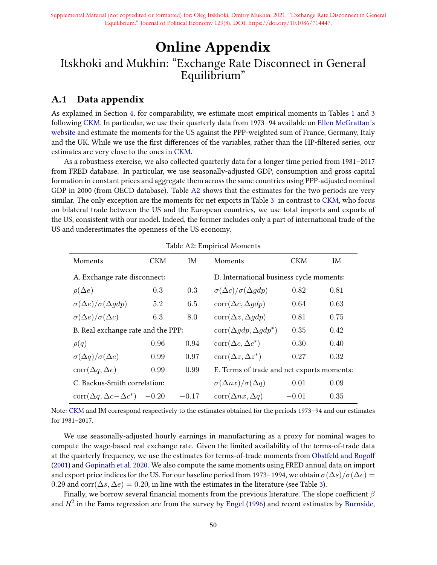# Online Appendix Itskhoki and Mukhin: "Exchange Rate Disconnect in General Equilibrium"

# A.1 Data appendix

As explained in Section 4, for comparability, we estimate most empirical moments in Tables 1 and 3 following CKM. In particular, we use their quarterly data from 1973–94 available on [Ellen McGrattan's](http://users.cla.umn.edu/~erm/data/sr277/) [website](http://users.cla.umn.edu/~erm/data/sr277/) and estimate the moments for the US against the PPP-weighted sum of France, Germany, Italy and the UK. While we use the first differences of the variables, rather than the HP-filtered series, our estimates are very close to the ones in CKM.

As a robustness exercise, we also collected quarterly data for a longer time period from 1981–2017 from FRED database. In particular, we use seasonally-adjusted GDP, consumption and gross capital formation in constant prices and aggregate them across the same countries using PPP-adjusted nominal GDP in 2000 (from OECD database). Table A2 shows that the estimates for the two periods are very similar. The only exception are the moments for net exports in Table 3: in contrast to CKM, who focus on bilateral trade between the US and the European countries, we use total imports and exports of the US, consistent with our model. Indeed, the former includes only a part of international trade of the US and underestimates the openness of the US economy.

| Moments                                        | CKM     | IM.     | Moments                                    | <b>CKM</b> | IM.  |
|------------------------------------------------|---------|---------|--------------------------------------------|------------|------|
| A. Exchange rate disconnect:                   |         |         | D. International business cycle moments:   |            |      |
| $\rho(\Delta e)$                               | 0.3     | 0.3     | $\sigma(\Delta c)/\sigma(\Delta gdp)$      | 0.82       | 0.81 |
| $\sigma(\Delta e)/\sigma(\Delta gdp)$          | 5.2     | 6.5     | $corr(\Delta c, \Delta qdp)$               | 0.64       | 0.63 |
| $\sigma(\Delta e)/\sigma(\Delta c)$            | 6.3     | 8.0     | $corr(\Delta z, \Delta gdp)$               | 0.81       | 0.75 |
| B. Real exchange rate and the PPP:             |         |         | $\text{corr}(\Delta gdp, \Delta gdp^*)$    | 0.35       | 0.42 |
| $\rho(q)$                                      | 0.96    | 0.94    | $corr(\Delta c, \Delta c^*)$               | 0.30       | 0.40 |
| $\sigma(\Delta q)/\sigma(\Delta e)$            | 0.99    | 0.97    | $corr(\Delta z, \Delta z^*)$               | 0.27       | 0.32 |
| $corr(\Delta q, \Delta e)$                     | 0.99    | 0.99    | E. Terms of trade and net exports moments: |            |      |
| C. Backus-Smith correlation:                   |         |         | $\sigma(\Delta nx)/\sigma(\Delta q)$       | 0.01       | 0.09 |
| $\text{corr}(\Delta q, \Delta c - \Delta c^*)$ | $-0.20$ | $-0.17$ | $corr(\Delta nx, \Delta q)$                | $-0.01$    | 0.35 |

Table A2: Empirical Moments

Note: CKM and IM correspond respectively to the estimates obtained for the periods 1973–94 and our estimates for 1981–2017.

We use seasonally-adjusted hourly earnings in manufacturing as a proxy for nominal wages to compute the wage-based real exchange rate. Given the limited availability of the terms-of-trade data at the quarterly frequency, we use the estimates for terms-of-trade moments from Obstfeld and Rogo (2001) and Gopinath et al. 2020. We also compute the same moments using FRED annual data on import and export price indices for the US. For our baseline period from 1973–1994, we obtain  $\sigma(\Delta s)/\sigma(\Delta e)$  = 0.29 and corr( $\Delta s, \Delta e$ ) = 0.20, in line with the estimates in the literature (see Table 3).

Finally, we borrow several financial moments from the previous literature. The slope coefficient  $\beta$ and  $R^2$  in the Fama regression are from the survey by Engel (1996) and recent estimates by Burnside,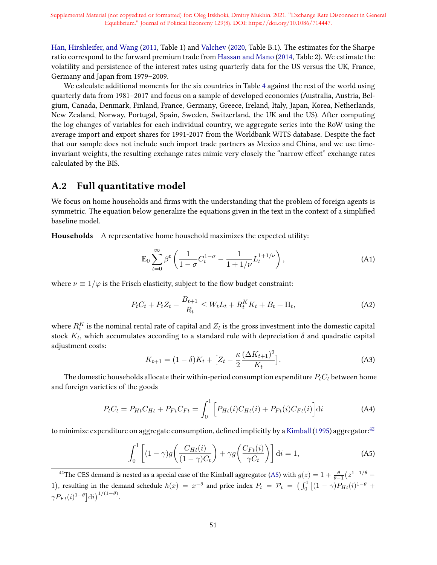Han, Hirshleifer, and Wang (2011, Table 1) and Valchev (2020, Table B.1). The estimates for the Sharpe ratio correspond to the forward premium trade from Hassan and Mano (2014, Table 2). We estimate the volatility and persistence of the interest rates using quarterly data for the US versus the UK, France, Germany and Japan from 1979–2009.

We calculate additional moments for the six countries in Table 4 against the rest of the world using quarterly data from 1981–2017 and focus on a sample of developed economies (Australia, Austria, Belgium, Canada, Denmark, Finland, France, Germany, Greece, Ireland, Italy, Japan, Korea, Netherlands, New Zealand, Norway, Portugal, Spain, Sweden, Switzerland, the UK and the US). After computing the log changes of variables for each individual country, we aggregate series into the RoW using the average import and export shares for 1991-2017 from the Worldbank WITS database. Despite the fact that our sample does not include such import trade partners as Mexico and China, and we use timeinvariant weights, the resulting exchange rates mimic very closely the "narrow effect" exchange rates calculated by the BIS.

### A.2 Full quantitative model

We focus on home households and firms with the understanding that the problem of foreign agents is symmetric. The equation below generalize the equations given in the text in the context of a simplified baseline model.

Households A representative home household maximizes the expected utility:

$$
\mathbb{E}_0 \sum_{t=0}^{\infty} \beta^t \left( \frac{1}{1-\sigma} C_t^{1-\sigma} - \frac{1}{1+1/\nu} L_t^{1+1/\nu} \right), \tag{A1}
$$

where  $\nu \equiv 1/\varphi$  is the Frisch elasticity, subject to the flow budget constraint:

$$
P_t C_t + P_t Z_t + \frac{B_{t+1}}{R_t} \le W_t L_t + R_t^K K_t + B_t + \Pi_t,
$$
\n(A2)

where  $R_t^K$  is the nominal rental rate of capital and  $Z_t$  is the gross investment into the domestic capital stock  $K_t$ , which accumulates according to a standard rule with depreciation  $\delta$  and quadratic capital adjustment costs:

$$
K_{t+1} = (1 - \delta)K_t + \left[Z_t - \frac{\kappa}{2} \frac{(\Delta K_{t+1})^2}{K_t}\right].
$$
 (A3)

The domestic households allocate their within-period consumption expenditure  $P_tC_t$  between home and foreign varieties of the goods

$$
P_t C_t = P_{Ht} C_{Ht} + P_{Ft} C_{Ft} = \int_0^1 \left[ P_{Ht}(i) C_{Ht}(i) + P_{Ft}(i) C_{Ft}(i) \right] dt \tag{A4}
$$

to minimize expenditure on aggregate consumption, defined implicitly by a Kimball (1995) aggregator: $42$ 

$$
\int_0^1 \left[ (1 - \gamma) g\left(\frac{C_{Ht}(i)}{(1 - \gamma)C_t}\right) + \gamma g\left(\frac{C_{Ft}(i)}{\gamma C_t}\right) \right] di = 1,
$$
\n(A5)

<sup>42</sup>The CES demand is nested as a special case of the Kimball aggregator (A5) with  $g(z) = 1 + \frac{\theta}{\theta-1}(z^{1-1/\theta} -$ 1), resulting in the demand schedule  $h(x) = x^{-\theta}$  and price index  $P_t = \mathcal{P}_t = \left( \int_0^1 \left[ (1 - \gamma) P_{Ht}(i)^{1-\theta} + \right] \right)$  $\gamma P_{Ft}(i)^{1-\theta}|\mathrm{d}i\big)^{1/(1-\theta)}.$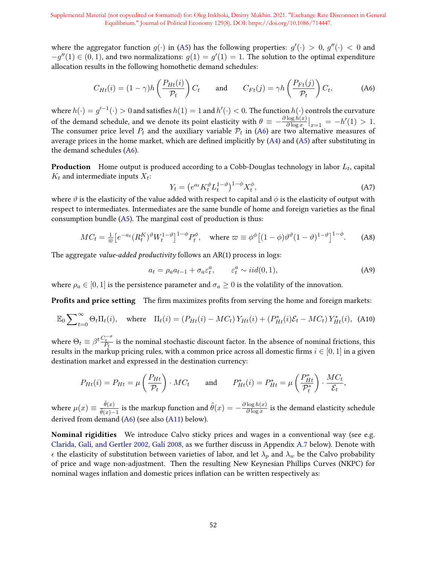where the aggregator function  $g(\cdot)$  in (A5) has the following properties:  $g'(\cdot) > 0$ ,  $g''(\cdot) < 0$  and  $-g''(1) \in (0,1)$ , and two normalizations:  $g(1) = g'(1) = 1$ . The solution to the optimal expenditure allocation results in the following homothetic demand schedules:

$$
C_{Ht}(i) = (1 - \gamma)h\left(\frac{P_{Ht}(i)}{\mathcal{P}_t}\right)C_t \quad \text{and} \quad C_{Ft}(j) = \gamma h\left(\frac{P_{Ft}(j)}{\mathcal{P}_t}\right)C_t, \tag{A6}
$$

where  $h(\cdot)=g'^{-1}(\cdot)>0$  and satisfies  $h(1)=1$  and  $h'(\cdot)<0.$  The function  $h(\cdot)$  controls the curvature of the demand schedule, and we denote its point elasticity with  $\theta \equiv -\frac{\partial \log h(x)}{\partial \log x}$  $\frac{\log h(x)}{\partial \log x}\Big|_{x=1} = -h'(1) > 1.$ The consumer price level  $P_t$  and the auxiliary variable  $\mathcal{P}_t$  in (A6) are two alternative measures of average prices in the home market, which are defined implicitly by  $(A4)$  and  $(A5)$  after substituting in the demand schedules (A6).

**Production** Home output is produced according to a Cobb-Douglas technology in labor  $L_t$ , capital  $K_t$  and intermediate inputs  $X_t$ :

$$
Y_t = \left(e^{a_t} K_t^{\vartheta} L_t^{1-\vartheta}\right)^{1-\phi} X_t^{\phi},\tag{A7}
$$

where  $\vartheta$  is the elasticity of the value added with respect to capital and  $\varphi$  is the elasticity of output with respect to intermediates. Intermediates are the same bundle of home and foreign varieties as the final consumption bundle (A5). The marginal cost of production is thus:

$$
MC_t = \frac{1}{\varpi} \left[ e^{-a_t} (R_t^K)^{\vartheta} W_t^{1-\vartheta} \right]^{1-\phi} P_t^{\phi}, \quad \text{where } \varpi \equiv \phi^{\phi} \left[ (1-\phi) \vartheta^{\vartheta} (1-\vartheta)^{1-\vartheta} \right]^{1-\phi}.
$$
 (A8)

The aggregate value-added productivity follows an AR(1) process in logs:

$$
a_t = \rho_a a_{t-1} + \sigma_a \varepsilon_t^a, \qquad \varepsilon_t^a \sim \text{iid}(0, 1), \tag{A9}
$$

,

where  $\rho_a \in [0,1]$  is the persistence parameter and  $\sigma_a \geq 0$  is the volatility of the innovation.

**Profits and price setting** The firm maximizes profits from serving the home and foreign markets:

$$
\mathbb{E}_0 \sum_{t=0}^{\infty} \Theta_t \Pi_t(i), \quad \text{where} \quad \Pi_t(i) = (P_{Ht}(i) - MC_t) \, Y_{Ht}(i) + (P_{Ht}^*(i)\mathcal{E}_t - MC_t) \, Y_{Ht}^*(i), \tag{A10}
$$

where  $\Theta_t \equiv \beta^t \frac{C_t^{-\sigma}}{P_t}$  is the nominal stochastic discount factor. In the absence of nominal frictions, this results in the markup pricing rules, with a common price across all domestic firms  $i \in [0, 1]$  in a given destination market and expressed in the destination currency:

$$
P_{Ht}(i) = P_{Ht} = \mu \left(\frac{P_{Ht}}{\mathcal{P}_t}\right) \cdot MC_t \quad \text{and} \quad P_{Ht}^*(i) = P_{Ht}^* = \mu \left(\frac{P_{Ht}^*}{\mathcal{P}_t^*}\right) \cdot \frac{MC_t}{\mathcal{E}_t}
$$

where  $\mu(x) \equiv \frac{\tilde{\theta}(x)}{\tilde{\theta}(x)}$  $\frac{\theta(x)}{\tilde{\theta}(x)-1}$  is the markup function and  $\tilde{\theta}(x) = -\frac{\partial \log h(x)}{\partial \log x}$  $\frac{\log h(x)}{\partial \log x}$  is the demand elasticity schedule derived from demand (A6) (see also (A11) below).

Nominal rigidities We introduce Calvo sticky prices and wages in a conventional way (see e.g. Clarida, Galí, and Gertler 2002, Galí 2008, as we further discuss in Appendix A.7 below). Denote with  $\epsilon$  the elasticity of substitution between varieties of labor, and let  $\lambda_p$  and  $\lambda_w$  be the Calvo probability of price and wage non-adjustment. Then the resulting New Keynesian Phillips Curves (NKPC) for nominal wages inflation and domestic prices inflation can be written respectively as: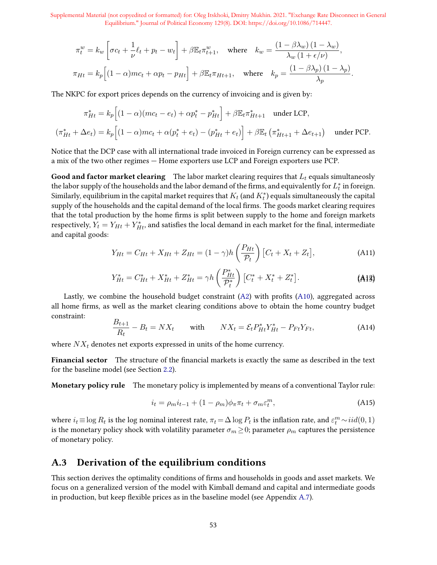$$
\begin{aligned} \pi^w_t &= k_w \left[ \sigma c_t + \frac{1}{\nu} \ell_t + p_t - w_t \right] + \beta \mathbb{E}_t \pi^w_{t+1}, \quad \text{where} \quad k_w = \frac{\left( 1 - \beta \lambda_w \right) \left( 1 - \lambda_w \right)}{\lambda_w \left( 1 + \epsilon / \nu \right)}, \\ \pi_{Ht} &= k_p \Big[ (1 - \alpha) m c_t + \alpha p_t - p_{Ht} \Big] + \beta \mathbb{E}_t \pi_{Ht+1}, \quad \text{where} \quad k_p = \frac{\left( 1 - \beta \lambda_p \right) \left( 1 - \lambda_p \right)}{\lambda_p}. \end{aligned}
$$

The NKPC for export prices depends on the currency of invoicing and is given by:

$$
\pi_{Ht}^{*} = k_{p} \Big[ (1 - \alpha)(mc_{t} - e_{t}) + \alpha p_{t}^{*} - p_{Ht}^{*} \Big] + \beta \mathbb{E}_{t} \pi_{Ht+1}^{*} \quad \text{under LCP},
$$

$$
(\pi_{Ht}^{*} + \Delta e_{t}) = k_{p} \Big[ (1 - \alpha)mc_{t} + \alpha(p_{t}^{*} + e_{t}) - (p_{Ht}^{*} + e_{t}) \Big] + \beta \mathbb{E}_{t} \left( \pi_{Ht+1}^{*} + \Delta e_{t+1} \right) \quad \text{under PCP}.
$$

Notice that the DCP case with all international trade invoiced in Foreign currency can be expressed as a mix of the two other regimes — Home exporters use LCP and Foreign exporters use PCP.

**Good and factor market clearing** The labor market clearing requires that  $L_t$  equals simultaneosly the labor supply of the households and the labor demand of the firms, and equivalently for  $L_t^*$  in foreign. Similarly, equilibrium in the capital market requires that  $K_t$  (and  $K_t^*$ ) equals simultaneously the capital supply of the households and the capital demand of the local firms. The goods market clearing requires that the total production by the home firms is split between supply to the home and foreign markets respectively,  $\tilde{Y}_t=Y_{Ht}+Y_{Ht}^*$ , and satisfies the local demand in each market for the final, intermediate and capital goods:

$$
Y_{Ht} = C_{Ht} + X_{Ht} + Z_{Ht} = (1 - \gamma)h\left(\frac{P_{Ht}}{\mathcal{P}_t}\right)[C_t + X_t + Z_t],
$$
\n(A11)

$$
Y_{Ht}^* = C_{Ht}^* + X_{Ht}^* + Z_{Ht}^* = \gamma h \left(\frac{P_{Ht}^*}{\mathcal{P}_t^*}\right) \left[C_t^* + X_t^* + Z_t^*\right].
$$
 (A13)

Lastly, we combine the household budget constraint  $(A2)$  with profits  $(A10)$ , aggregated across all home firms, as well as the market clearing conditions above to obtain the home country budget constraint:

$$
\frac{B_{t+1}}{R_t} - B_t = N X_t \quad \text{with} \quad N X_t = \mathcal{E}_t P_{Ht}^* Y_{Ht}^* - P_{Ft} Y_{Ft}, \tag{A14}
$$

where  $NX_t$  denotes net exports expressed in units of the home currency.

Financial sector The structure of the financial markets is exactly the same as described in the text for the baseline model (see Section 2.2).

Monetary policy rule The monetary policy is implemented by means of a conventional Taylor rule:

$$
i_t = \rho_m i_{t-1} + (1 - \rho_m)\phi_\pi \pi_t + \sigma_m \varepsilon_t^m, \tag{A15}
$$

where  $i_t \equiv \log R_t$  is the  $\log$  nominal interest rate,  $\pi_t = \Delta \log P_t$  is the inflation rate, and  $\varepsilon_t^m \sim iid(0,1)$ is the monetary policy shock with volatility parameter  $\sigma_m \geq 0$ ; parameter  $\rho_m$  captures the persistence of monetary policy.

## A.3 Derivation of the equilibrium conditions

This section derives the optimality conditions of firms and households in goods and asset markets. We focus on a generalized version of the model with Kimball demand and capital and intermediate goods in production, but keep flexible prices as in the baseline model (see Appendix A.7).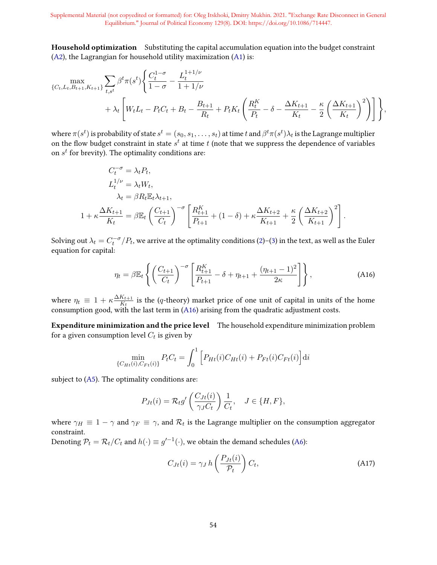Household optimization Substituting the capital accumulation equation into the budget constraint (A2), the Lagrangian for household utility maximization (A1) is:

$$
\max_{\{C_t, L_t, B_{t+1}, K_{t+1}\}} \sum_{t, s^t} \beta^t \pi(s^t) \left\{ \frac{C_t^{1-\sigma}}{1-\sigma} - \frac{L_t^{1+1/\nu}}{1+1/\nu} + \lambda_t \left[ W_t L_t - P_t C_t + B_t - \frac{B_{t+1}}{R_t} + P_t K_t \left( \frac{R_t^K}{P_t} - \delta - \frac{\Delta K_{t+1}}{K_t} - \frac{\kappa}{2} \left( \frac{\Delta K_{t+1}}{K_t} \right)^2 \right) \right] \right\},
$$

where  $\pi(s^t)$  is probability of state  $s^t=(s_0,s_1,\ldots,s_t)$  at time  $t$  and  $\beta^t\pi(s^t)\lambda_t$  is the Lagrange multiplier on the flow budget constraint in state  $s^t$  at time  $t$  (note that we suppress the dependence of variables on  $s^t$  for brevity). The optimality conditions are:

$$
C_t^{-\sigma} = \lambda_t P_t,
$$
  
\n
$$
L_t^{1/\nu} = \lambda_t W_t,
$$
  
\n
$$
\lambda_t = \beta R_t \mathbb{E}_t \lambda_{t+1},
$$
  
\n
$$
1 + \kappa \frac{\Delta K_{t+1}}{K_t} = \beta \mathbb{E}_t \left(\frac{C_{t+1}}{C_t}\right)^{-\sigma} \left[\frac{R_{t+1}^K}{P_{t+1}} + (1 - \delta) + \kappa \frac{\Delta K_{t+2}}{K_{t+1}} + \frac{\kappa}{2} \left(\frac{\Delta K_{t+2}}{K_{t+1}}\right)^2\right].
$$

Solving out  $\lambda_t = C_t^{-\sigma}/P_t$ , we arrive at the optimality conditions (2)–(3) in the text, as well as the Euler equation for capital:

$$
\eta_t = \beta \mathbb{E}_t \left\{ \left( \frac{C_{t+1}}{C_t} \right)^{-\sigma} \left[ \frac{R_{t+1}^K}{P_{t+1}} - \delta + \eta_{t+1} + \frac{(\eta_{t+1} - 1)^2}{2\kappa} \right] \right\},
$$
\n(A16)

where  $\eta_t \equiv 1 + \kappa \frac{\Delta K_{t+1}}{K_t}$  $\frac{K_{t+1}}{K_t}$  is the (q-theory) market price of one unit of capital in units of the home consumption good, with the last term in  $(A16)$  arising from the quadratic adjustment costs.

Expenditure minimization and the price level The household expenditure minimization problem for a given consumption level  $C_t$  is given by

$$
\min_{\{C_{Ht}(i), C_{Ft}(i)\}} P_t C_t = \int_0^1 \left[ P_{Ht}(i) C_{Ht}(i) + P_{Ft}(i) C_{Ft}(i) \right] dt
$$

subject to  $(A5)$ . The optimality conditions are:

$$
P_{Jt}(i) = \mathcal{R}_t g' \left( \frac{C_{Jt}(i)}{\gamma_J C_t} \right) \frac{1}{C_t}, \quad J \in \{H, F\},\
$$

where  $\gamma_H \equiv 1 - \gamma$  and  $\gamma_F \equiv \gamma$ , and  $\mathcal{R}_t$  is the Lagrange multiplier on the consumption aggregator constraint.

Denoting  $\mathcal{P}_t=\mathcal{R}_t/C_t$  and  $h(\cdot)\equiv g'^{-1}(\cdot),$  we obtain the demand schedules (A6):

$$
C_{Jt}(i) = \gamma_J h\left(\frac{P_{Jt}(i)}{\mathcal{P}_t}\right) C_t,
$$
\n(A17)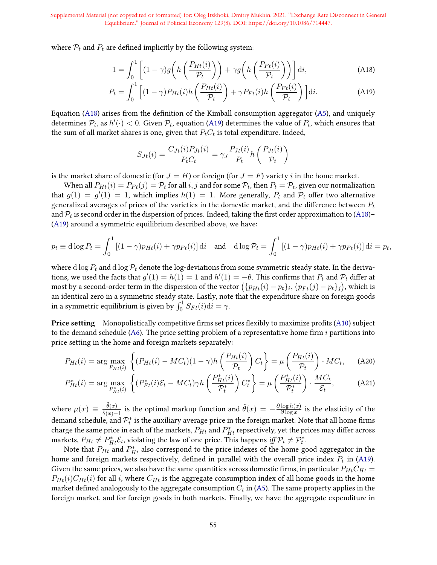where  $P_t$  and  $P_t$  are defined implicitly by the following system:

$$
1 = \int_0^1 \left[ (1 - \gamma) g\left( h\left(\frac{P_{Ht}(i)}{\mathcal{P}_t} \right) \right) + \gamma g\left( h\left(\frac{P_{Ft}(i)}{\mathcal{P}_t} \right) \right) \right] di,
$$
 (A18)

$$
P_t = \int_0^1 \left[ (1 - \gamma) P_{Ht}(i) h\left(\frac{P_{Ht}(i)}{\mathcal{P}_t}\right) + \gamma P_{Ft}(i) h\left(\frac{P_{Ft}(i)}{\mathcal{P}_t}\right) \right] \mathrm{d}i. \tag{A19}
$$

Equation (A18) arises from the definition of the Kimball consumption aggregator (A5), and uniquely determines  $\mathcal{P}_t$ , as  $h'(\cdot) < 0$ . Given  $\mathcal{P}_t$ , equation (A19) determines the value of  $P_t$ , which ensures that the sum of all market shares is one, given that  $P_tC_t$  is total expenditure. Indeed,

$$
S_{Jt}(i) = \frac{C_{Jt}(i)P_{Jt}(i)}{P_t C_t} = \gamma_J \frac{P_{Jt}(i)}{P_t} h\left(\frac{P_{Jt}(i)}{\mathcal{P}_t}\right)
$$

is the market share of domestic (for  $J = H$ ) or foreign (for  $J = F$ ) variety i in the home market.

When all  $P_{Ht}(i) = P_{Ft}(j) = P_t$  for all  $i, j$  and for some  $P_t$ , then  $P_t = P_t$ , given our normalization that  $g(1) = g'(1) = 1$ , which implies  $h(1) = 1$ . More generally,  $P_t$  and  $P_t$  offer two alternative generalized averages of prices of the varieties in the domestic market, and the difference between  $P_t$ and  $\mathcal{P}_t$  is second order in the dispersion of prices. Indeed, taking the first order approximation to (A18)– (A19) around a symmetric equilibrium described above, we have:

$$
p_t \equiv \mathrm{d}\log P_t = \int_0^1 \left[ (1-\gamma)p_{Ht}(i) + \gamma p_{Ft}(i) \right] \mathrm{d}i \quad \text{and} \quad \mathrm{d}\log \mathcal{P}_t = \int_0^1 \left[ (1-\gamma)p_{Ht}(i) + \gamma p_{Ft}(i) \right] \mathrm{d}i = p_t,
$$

where d log  $P_t$  and d log  $\mathcal{P}_t$  denote the log-deviations from some symmetric steady state. In the derivations, we used the facts that  $g'(1) = h(1) = 1$  and  $h'(1) = -\theta$ . This confirms that  $P_t$  and  $\mathcal{P}_t$  differ at most by a second-order term in the dispersion of the vector  $\left(\{p_{Ht}(i) - p_t\}_i, \{p_{Ft}(j) - p_t\}_j\right)$ , which is an identical zero in a symmetric steady state. Lastly, note that the expenditure share on foreign goods in a symmetric equilibrium is given by  $\int_0^1 S_{Ft}(i) \mathrm{d}i = \gamma$ .

**Price setting** Monopolistically competitive firms set prices flexibly to maximize profits (A10) subject to the demand schedule (A6). The price setting problem of a representative home firm  $i$  partitions into price setting in the home and foreign markets separately:

$$
P_{Ht}(i) = \arg \max_{P_{Ht}(i)} \left\{ (P_{Ht}(i) - MC_t)(1 - \gamma)h\left(\frac{P_{Ht}(i)}{\mathcal{P}_t}\right) C_t \right\} = \mu \left(\frac{P_{Ht}(i)}{\mathcal{P}_t}\right) \cdot MC_t, \quad \text{(A20)}
$$

$$
P_{Ht}^*(i) = \arg\max_{P_{Ht}^*(i)} \left\{ (P_{Ft}^*(i)\mathcal{E}_t - MC_t)\gamma h\left(\frac{P_{Ht}^*(i)}{\mathcal{P}_t^*}\right) C_t^* \right\} = \mu\left(\frac{P_{Ht}^*(i)}{\mathcal{P}_t^*}\right) \cdot \frac{MC_t}{\mathcal{E}_t},\tag{A21}
$$

where  $\mu(x) \equiv \frac{\tilde{\theta}(x)}{\tilde{\theta}(x)}$  $\frac{\theta(x)}{\tilde{\theta}(x)-1}$  is the optimal markup function and  $\tilde{\theta}(x) = -\frac{\partial \log h(x)}{\partial \log x}$  $\frac{\log h(x)}{\partial \log x}$  is the elasticity of the demand schedule, and  $\mathcal{P}_t^*$  is the auxiliary average price in the foreign market. Note that all home firms charge the same price in each of the markets,  $P_{Ht}$  and  $P_{Ht}^*$  repsectively, yet the prices may differ across markets,  $P_{Ht} \neq P_{Ht}^* \mathcal{E}_t$ , violating the law of one price. This happens iff  $\mathcal{P}_t \neq \mathcal{P}_t^*$ .

Note that  $P_{Ht}$  and  $P_{Ht}^{*}$  also correspond to the price indexes of the home good aggregator in the home and foreign markets respectively, defined in parallel with the overall price index  $P_t$  in (A19). Given the same prices, we also have the same quantities across domestic firms, in particular  $P_{Ht}C_{Ht}$  =  $P_{Ht}(i)C_{Ht}(i)$  for all i, where  $C_{Ht}$  is the aggregate consumption index of all home goods in the home market defined analogously to the aggregate consumption  $C_t$  in (A5). The same property applies in the foreign market, and for foreign goods in both markets. Finally, we have the aggregate expenditure in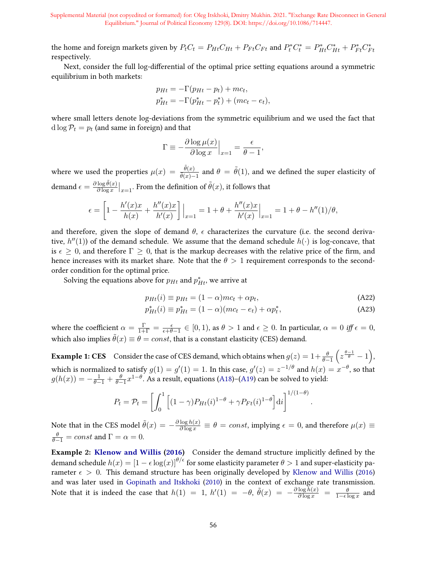the home and foreign markets given by  $P_t C_t = P_{Ht} C_{Ht} + P_{Ft} C_{Ft}$  and  $P_t^* C_t^* = P_{Ht}^* C_{Ht}^* + P_{Ft}^* C_{Ft}^*$ respectively.

Next, consider the full log-differential of the optimal price setting equations around a symmetric equilibrium in both markets:

$$
p_{Ht} = -\Gamma(p_{Ht} - p_t) + mc_t,
$$
  
\n
$$
p_{Ht}^* = -\Gamma(p_{Ht}^* - p_t^*) + (mc_t - e_t),
$$

where small letters denote log-deviations from the symmetric equilibrium and we used the fact that d  $\log \mathcal{P}_t = p_t$  (and same in foreign) and that

$$
\Gamma \equiv -\frac{\partial \log \mu(x)}{\partial \log x}\Big|_{x=1} = \frac{\epsilon}{\theta - 1},
$$

where we used the properties  $\mu(x) = \frac{\tilde{\theta}(x)}{\tilde{\theta}(x)-1}$  and  $\theta = \tilde{\theta}(1)$ , and we defined the super elasticity of demand  $\epsilon = \frac{\partial \log \tilde{\theta}(x)}{\partial \log x}$  $\frac{\log \theta(x)}{\partial \log x}\big|_{x=1}$ . From the definition of  $\tilde{\theta}(x)$ , it follows that

$$
\epsilon = \left[1 - \frac{h'(x)x}{h(x)} + \frac{h''(x)x}{h'(x)}\right]\Big|_{x=1} = 1 + \theta + \frac{h''(x)x}{h'(x)}\Big|_{x=1} = 1 + \theta - \frac{h''(x)}{h'(x)}\Big|_{x=1} = 1 + \theta - \frac{h''(x)}{h'(x)}\Big|_{x=1} = 1 + \theta - \frac{h''(x)}{h'(x)}\Big|_{x=1} = 1 + \theta - \frac{h''(x)}{h'(x)}\Big|_{x=1} = 1 + \theta - \frac{h''(x)}{h'(x)}\Big|_{x=1} = 1 + \theta - \frac{h''(x)}{h'(x)}\Big|_{x=1} = 1 + \theta - \frac{h''(x)}{h'(x)}\Big|_{x=1} = 1 + \theta - \frac{h''(x)}{h'(x)}\Big|_{x=1} = 1 + \theta - \frac{h''(x)}{h'(x)}\Big|_{x=1} = 1 + \theta - \frac{h''(x)}{h'(x)}\Big|_{x=1} = 1 + \theta - \frac{h''(x)}{h'(x)}\Big|_{x=1} = 1 + \theta - \frac{h''(x)}{h'(x)}\Big|_{x=1} = 1 + \theta - \frac{h''(x)}{h'(x)}\Big|_{x=1} = 1 + \theta - \frac{h''(x)}{h'(x)}\Big|_{x=1} = 1 + \theta - \frac{h''(x)}{h'(x)}\Big|_{x=1} = 1 + \theta - \frac{h''(x)}{h'(x)}\Big|_{x=1} = 1 + \theta - \frac{h''(x)}{h'(x)}\Big|_{x=1} = 1 + \theta - \frac{h''(x)}{h'(x)}\Big|_{x=1} = 1 + \theta - \frac{h''(x)}{h'(x)}\Big|_{x=1} = 1 + \theta - \frac{h''(x)}{h'(x)}\Big|_{x=1} = 1 + \theta - \frac{h''(x)}{h'(x)}\Big|_{x=1} = 1 + \theta - \frac{h''(x)}{h'(x)}\Big|_{x=1} = 1 + \theta - \frac{h''(x)}{h'(x)}\Big|_{x=1} = 1 + \theta - \frac{h''(x)}{h'(x)}\Big|_{x=1} = 1 + \theta - \frac{h''(x)}{h
$$

and therefore, given the slope of demand  $\theta$ ,  $\epsilon$  characterizes the curvature (i.e. the second derivative,  $h''(1)$ ) of the demand schedule. We assume that the demand schedule  $h(\cdot)$  is log-concave, that is  $\epsilon \geq 0$ , and therefore  $\Gamma \geq 0$ , that is the markup decreases with the relative price of the firm, and hence increases with its market share. Note that the  $\theta > 1$  requirement corresponds to the secondorder condition for the optimal price.

Solving the equations above for  $p_{Ht}$  and  $p_{Ht}^*$  we arrive at

$$
p_{Ht}(i) \equiv p_{Ht} = (1 - \alpha)mc_t + \alpha p_t,
$$
\n(A22)

$$
p_{Ht}^{*}(i) \equiv p_{Ht}^{*} = (1 - \alpha)(mc_t - e_t) + \alpha p_t^{*}, \tag{A23}
$$

 $-\theta)$ .

where the coefficient  $\alpha = \frac{\Gamma}{1+\Gamma} = \frac{\epsilon}{\epsilon+\theta-1} \in [0,1)$ , as  $\theta > 1$  and  $\epsilon \ge 0$ . In particular,  $\alpha = 0$  iff  $\epsilon = 0$ , which also implies  $\tilde{\theta}(x) \equiv \theta = const$ , that is a constant elasticity (CES) demand.

**Example 1: CES** Consider the case of CES demand, which obtains when  $g(z) = 1 + \frac{\theta}{\theta-1}\left(z^{\frac{\theta-1}{\theta}}-1\right)$ , which is normalized to satisfy  $g(1)=g'(1)=1.$  In this case,  $g'(z)=z^{-1/\theta}$  and  $h(x)=x^{-\theta},$  so that  $g(h(x)) = -\frac{1}{\theta-1} + \frac{\theta}{\theta-1}x^{1-\theta}.$  As a result, equations (A18)–(A19) can be solved to yield:

$$
P_t = \mathcal{P}_t = \left[ \int_0^1 \left[ (1 - \gamma) P_{Ht}(i)^{1 - \theta} + \gamma P_{Ft}(i)^{1 - \theta} \right] \mathrm{d}i \right]^{1/(1 - \theta)}
$$

Note that in the CES model  $\tilde{\theta}(x) = -\frac{\partial \log h(x)}{\partial \log x} \equiv \theta = const$ , implying  $\epsilon = 0$ , and therefore  $\mu(x) \equiv$  $\frac{\theta}{\theta-1} = const$  and  $\Gamma = \alpha = 0$ .

Example 2: Klenow and Willis (2016) Consider the demand structure implicitly defined by the demand schedule  $h(x) = [1 - \epsilon \log(x)]^{\theta/\epsilon}$  for some elasticity parameter  $\theta > 1$  and super-elasticity parameter  $\epsilon > 0$ . This demand structure has been originally developed by Klenow and Willis (2016) and was later used in Gopinath and Itskhoki (2010) in the context of exchange rate transmission. Note that it is indeed the case that  $h(1) = 1$ ,  $h'(1) = -\theta$ ,  $\tilde{\theta}(x) = -\frac{\partial \log h(x)}{\partial \log x} = \frac{\theta}{1 - \epsilon \log x}$  and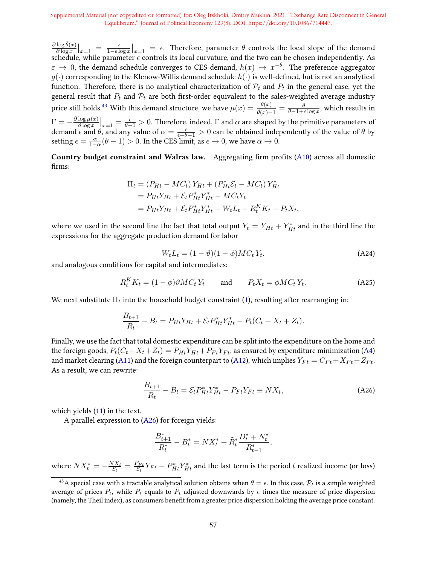$\partial \log \tilde{\theta}(x)$  $\frac{\log \theta(x)}{\partial \log x}\Big|_{x=1} = \frac{\epsilon}{1-\epsilon \log x}\Big|_{x=1} = \epsilon$ . Therefore, parameter  $\theta$  controls the local slope of the demand schedule, while parameter  $\epsilon$  controls its local curvature, and the two can be chosen independently. As  $\varepsilon \to 0$ , the demand schedule converges to CES demand,  $h(x) \to x^{-\theta}$ . The preference aggregator  $g(\cdot)$  corresponding to the Klenow-Willis demand schedule  $h(\cdot)$  is well-defined, but is not an analytical function. Therefore, there is no analytical characterization of  $\mathcal{P}_t$  and  $P_t$  in the general case, yet the general result that  $P_t$  and  $P_t$  are both first-order equivalent to the sales-weighted average industry price still holds.<sup>43</sup> With this demand structure, we have  $\mu(x)=\frac{\tilde{\theta}(x)}{\tilde{\theta}(x)-1}=\frac{\theta}{\theta-1+\epsilon\log x},$  which results in  $\Gamma = -\frac{\partial \log \mu(x)}{\partial \log x}$  $\frac{\log \mu(x)}{\log x}\Big|_{x=1} = \frac{\epsilon}{\theta-1} > 0$ . Therefore, indeed, Γ and α are shaped by the primitive parameters of demand  $\epsilon$  and  $\theta$ , and any value of  $\alpha = \frac{\epsilon}{\epsilon + \theta - 1} > 0$  can be obtained independently of the value of  $\theta$  by setting  $\epsilon = \frac{\alpha}{1-\alpha}(\theta - 1) > 0$ . In the CES limit, as  $\epsilon \to 0$ , we have  $\alpha \to 0$ .

Country budget constraint and Walras law. Aggregating firm profits (A10) across all domestic firms:

$$
\Pi_{t} = (P_{Ht} - MC_{t}) Y_{Ht} + (P_{Ht}^{*} \mathcal{E}_{t} - MC_{t}) Y_{Ht}^{*}
$$
\n
$$
= P_{Ht} Y_{Ht} + \mathcal{E}_{t} P_{Ht}^{*} Y_{Ht}^{*} - MC_{t} Y_{t}
$$
\n
$$
= P_{Ht} Y_{Ht} + \mathcal{E}_{t} P_{Ht}^{*} Y_{Ht}^{*} - W_{t} L_{t} - R_{t}^{K} K_{t} - P_{t} X_{t}
$$

where we used in the second line the fact that total output  $Y_t = Y_{Ht} + Y_{Ht}^*$  and in the third line the expressions for the aggregate production demand for labor

$$
W_t L_t = (1 - \vartheta)(1 - \phi)MC_t Y_t,
$$
\n(A24)

,

and analogous conditions for capital and intermediates:

$$
R_t^K K_t = (1 - \phi)\vartheta M C_t Y_t \quad \text{and} \quad P_t X_t = \phi M C_t Y_t. \tag{A25}
$$

We next substitute  $\Pi_t$  into the household budget constraint (1), resulting after rearranging in:

$$
\frac{B_{t+1}}{R_t} - B_t = P_{Ht} Y_{Ht} + \mathcal{E}_t P_{Ht}^* Y_{Ht}^* - P_t (C_t + X_t + Z_t).
$$

Finally, we use the fact that total domestic expenditure can be split into the expenditure on the home and the foreign goods,  $P_t(C_t+X_t+Z_t) = P_{Ht}Y_{Ht} + P_{Ft}Y_{Ft}$ , as ensured by expenditure minimization (A4) and market clearing (A11) and the foreign counterpart to (A12), which implies  $Y_{Ft} = C_{Ft} + X_{Ft} + Z_{Ft}$ . As a result, we can rewrite:

$$
\frac{B_{t+1}}{R_t} - B_t = \mathcal{E}_t P_{Ht}^* Y_{Ht}^* - P_{Ft} Y_{Ft} \equiv N X_t,
$$
\n(A26)

which yields (11) in the text.

A parallel expression to (A26) for foreign yields:

$$
\frac{B_{t+1}^*}{R_t^*} - B_t^* = N X_t^* + \tilde{R}_t^* \frac{D_t^* + N_t^*}{R_{t-1}^*},
$$

where  $NX_t^* = -\frac{NX_t}{\mathcal{E}_t}$  $\frac{d^{2}X_{t}}{\mathcal{E}_{t}}=\frac{P_{F t}}{\mathcal{E}_{t}}$  $\frac{P_{Ft}}{\mathcal{E}_t}Y_{Ft}-P_{Ht}^*Y_{Ht}^*$  and the last term is the period  $t$  realized income (or loss)

<sup>&</sup>lt;sup>43</sup>A special case with a tractable analytical solution obtains when  $\theta = \epsilon$ . In this case,  $\mathcal{P}_t$  is a simple weighted average of prices  $\bar{P}_t$ , while  $P_t$  equals to  $\bar{P}_t$  adjusted downwards by  $\epsilon$  times the measure of price dispersion (namely, the Theil index), as consumers benefit from a greater price dispersion holding the average price constant.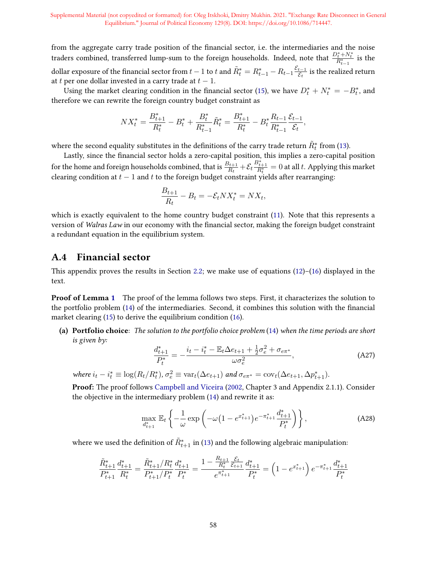from the aggregate carry trade position of the financial sector, i.e. the intermediaries and the noise traders combined, transferred lump-sum to the foreign households. Indeed, note that  $\frac{D_t^* + N_t^*}{R_{t-1}^*}$  is the dollar exposure of the financial sector from  $t-1$  to  $t$  and  $\tilde{R}^*_t = R^*_{t-1} - R_{t-1} \frac{\mathcal{E}_{t-1}}{\mathcal{E}_t}$  is the realize  $\frac{t-1}{\mathcal{E}_t}$  is the realized return at t per one dollar invested in a carry trade at  $t - 1$ .

Using the market clearing condition in the financial sector (15), we have  $D_t^* + N_t^* = -B_t^*$ , and therefore we can rewrite the foreign country budget constraint as

$$
NX_t^* = \frac{B_{t+1}^*}{R_t^*} - B_t^* + \frac{B_t^*}{R_{t-1}^*} \tilde{R}_t^* = \frac{B_{t+1}^*}{R_t^*} - B_t^* \frac{R_{t-1}}{R_{t-1}^*} \frac{\mathcal{E}_{t-1}}{\mathcal{E}_t},
$$

where the second equality substitutes in the definitions of the carry trade return  $\tilde{R}^{*}_{t}$  from (13).

Lastly, since the financial sector holds a zero-capital position, this implies a zero-capital position for the home and foreign households combined, that is  $\frac{B_{t+1}}{R_t} + \mathcal{E}_t \frac{B_{t+1}^*}{R_t^*} = 0$  at all t. Applying this market clearing condition at  $t - 1$  and t to the foreign budget constraint yields after rearranging:

$$
\frac{B_{t+1}}{R_t} - B_t = -\mathcal{E}_t N X_t^* = N X_t,
$$

which is exactly equivalent to the home country budget constraint (11). Note that this represents a version of Walras Law in our economy with the financial sector, making the foreign budget constraint a redundant equation in the equilibrium system.

#### A.4 Financial sector

This appendix proves the results in Section 2.2; we make use of equations  $(12)$ – $(16)$  displayed in the text.

Proof of Lemma 1 The proof of the lemma follows two steps. First, it characterizes the solution to the portfolio problem (14) of the intermediaries. Second, it combines this solution with the financial market clearing (15) to derive the equilibrium condition (16).

(a) Portfolio choice: The solution to the portfolio choice problem (14) when the time periods are short is given by:

$$
\frac{d_{t+1}^*}{P_t^*} = -\frac{i_t - i_t^* - \mathbb{E}_t \Delta e_{t+1} + \frac{1}{2}\sigma_e^2 + \sigma_{e\pi^*}}{\omega \sigma_e^2},\tag{A27}
$$

where  $i_t - i_t^* \equiv \log(R_t/R_t^*)$ ,  $\sigma_e^2 \equiv \text{var}_t(\Delta e_{t+1})$  and  $\sigma_{e\pi^*} = \text{cov}_t(\Delta e_{t+1}, \Delta p_{t+1}^*)$ .

Proof: The proof follows Campbell and Viceira (2002, Chapter 3 and Appendix 2.1.1). Consider the objective in the intermediary problem (14) and rewrite it as:

$$
\max_{d_{t+1}^*} \mathbb{E}_t \left\{ -\frac{1}{\omega} \exp \left( -\omega \left( 1 - e^{x_{t+1}^*} \right) e^{-\pi_{t+1}^*} \frac{d_{t+1}^*}{P_t^*} \right) \right\},\tag{A28}
$$

where we used the definition of  $\tilde{R}_{t+1}^*$  in (13) and the following algebraic manipulation:

$$
\frac{\tilde{R}_{t+1}^*}{P_{t+1}^*} \frac{d_{t+1}^*}{R_t^*} = \frac{\tilde{R}_{t+1}^*/R_t^*}{P_{t+1}^*/P_t^*} \frac{d_{t+1}^*}{P_t^*} = \frac{1 - \frac{R_{t+1}}{R_t^*} \frac{\mathcal{E}_t}{\mathcal{E}_{t+1}}}{e^{\pi_{t+1}^*}} \frac{d_{t+1}^*}{P_t^*} = \left(1 - e^{x_{t+1}^*}\right) e^{-\pi_{t+1}^*} \frac{d_{t+1}^*}{P_t^*}
$$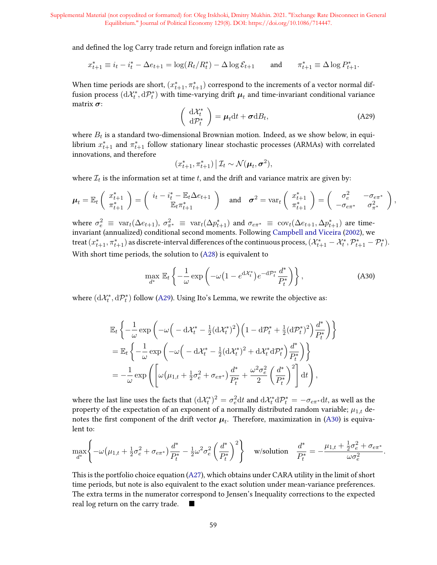and defined the log Carry trade return and foreign inflation rate as

$$
x_{t+1}^* \equiv i_t - i_t^* - \Delta e_{t+1} = \log(R_t/R_t^*) - \Delta \log \mathcal{E}_{t+1} \quad \text{and} \quad \pi_{t+1}^* \equiv \Delta \log P_{t+1}^*.
$$

When time periods are short,  $(x_{t+1}^*, \pi_{t+1}^*)$  correspond to the increments of a vector normal diffusion process  $(dX_t^*, dP_t^*)$  with time-varying drift  $\mu_t$  and time-invariant conditional variance matrix  $\sigma$ :

$$
\begin{pmatrix} \mathrm{d}\mathcal{X}_t^*\\ \mathrm{d}\mathcal{P}_t^* \end{pmatrix} = \boldsymbol{\mu}_t \mathrm{d}t + \boldsymbol{\sigma} \mathrm{d}B_t, \tag{A29}
$$

where  $B_t$  is a standard two-dimensional Brownian motion. Indeed, as we show below, in equilibrium  $x^*_{t+1}$  and  $\pi^*_{t+1}$  follow stationary linear stochastic processes (ARMAs) with correlated innovations, and therefore

$$
(x_{t+1}^*, \pi_{t+1}^*) | \mathcal{I}_t \sim \mathcal{N}(\boldsymbol{\mu}_t, \boldsymbol{\sigma}^2),
$$

where  $\mathcal{I}_t$  is the information set at time  $t$ , and the drift and variance matrix are given by:

$$
\boldsymbol{\mu}_t = \mathbb{E}_t \left( \begin{array}{c} x_{t+1}^* \\ \pi_{t+1}^* \end{array} \right) = \left( \begin{array}{c} i_t - i_t^* - \mathbb{E}_t \Delta e_{t+1} \\ \mathbb{E}_t \pi_{t+1}^* \end{array} \right) \quad \text{and} \quad \boldsymbol{\sigma}^2 = \text{var}_t \left( \begin{array}{c} x_{t+1}^* \\ \pi_{t+1}^* \end{array} \right) = \left( \begin{array}{cc} \sigma_e^2 & -\sigma_{e\pi^*} \\ -\sigma_{e\pi^*} & \sigma_{\pi^*}^2 \end{array} \right),
$$

where  $\sigma_e^2 \equiv \text{var}_t(\Delta e_{t+1}), \sigma_{\pi^*}^2 \equiv \text{var}_t(\Delta p_{t+1}^*)$  and  $\sigma_{e\pi^*} \equiv \text{cov}_t(\Delta e_{t+1}, \Delta p_{t+1}^*)$  are timeinvariant (annualized) conditional second moments. Following Campbell and Viceira (2002), we treat  $(x_{t+1}^*, \pi_{t+1}^*)$  as discrete-interval differences of the continuous process,  $(\mathcal{X}_{t+1}^* - \mathcal{X}_t^*, \mathcal{P}_{t+1}^* - \mathcal{P}_t^*)$ . With short time periods, the solution to (A28) is equivalent to

$$
\max_{d^*} \mathbb{E}_t \left\{ -\frac{1}{\omega} \exp \left( -\omega \left( 1 - e^{d\mathcal{X}_t^*} \right) e^{-d\mathcal{P}_t^*} \frac{d^*}{P_t^*} \right) \right\},\tag{A30}
$$

where  $(\mathrm{d}\mathcal{X}_t^*,\mathrm{d}\mathcal{P}_t^*)$  follow (A29). Using Ito's Lemma, we rewrite the objective as:

$$
\mathbb{E}_{t}\left\{-\frac{1}{\omega}\exp\left(-\omega\left(-\mathrm{d}\mathcal{X}_{t}^{*}-\frac{1}{2}(\mathrm{d}\mathcal{X}_{t}^{*})^{2}\right)\left(1-\mathrm{d}\mathcal{P}_{t}^{*}+\frac{1}{2}(\mathrm{d}\mathcal{P}_{t}^{*})^{2}\right)\frac{d^{*}}{P_{t}^{*}}\right)\right\}
$$
\n
$$
=\mathbb{E}_{t}\left\{-\frac{1}{\omega}\exp\left(-\omega\left(-\mathrm{d}\mathcal{X}_{t}^{*}-\frac{1}{2}(\mathrm{d}\mathcal{X}_{t}^{*})^{2}+\mathrm{d}\mathcal{X}_{t}^{*}\mathrm{d}\mathcal{P}_{t}^{*}\right)\frac{d^{*}}{P_{t}^{*}}\right)\right\}
$$
\n
$$
=-\frac{1}{\omega}\exp\left(\left[\omega\left(\mu_{1,t}+\frac{1}{2}\sigma_{e}^{2}+\sigma_{e\pi^{*}}\right)\frac{d^{*}}{P_{t}^{*}}+\frac{\omega^{2}\sigma_{e}^{2}}{2}\left(\frac{d^{*}}{P_{t}^{*}}\right)^{2}\right]\mathrm{d}t\right),
$$

where the last line uses the facts that  $(d\mathcal{X}^*_t)^2=\sigma_e^2dt$  and  $d\mathcal{X}^*_t d\mathcal{P}^*_t=-\sigma_{e\pi^*}dt$ , as well as the property of the expectation of an exponent of a normally distributed random variable;  $\mu_{1,t}$  denotes the first component of the drift vector  $\mu_t$ . Therefore, maximization in (A30) is equivalent to:

$$
\max_{d^*}\left\{-\omega\big(\mu_{1,t}+\tfrac{1}{2}\sigma_e^2+\sigma_{e\pi^*}\big)\frac{d^*}{P_t^*}-\tfrac{1}{2}\omega^2\sigma_e^2\left(\frac{d^*}{P_t^*}\right)^2\right\}\quad\text{w/solution}\quad\frac{d^*}{P_t^*}=-\frac{\mu_{1,t}+\tfrac{1}{2}\sigma_e^2+\sigma_{e\pi^*}}{\omega\sigma_e^2}.
$$

This is the portfolio choice equation (A27), which obtains under CARA utility in the limit of short time periods, but note is also equivalent to the exact solution under mean-variance preferences. The extra terms in the numerator correspond to Jensen's Inequality corrections to the expected real log return on the carry trade.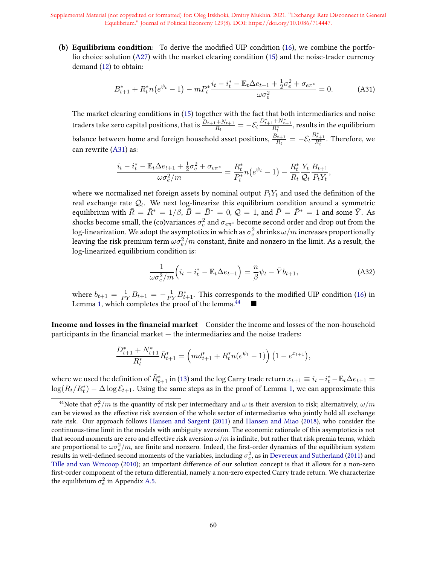(b) Equilibrium condition: To derive the modified UIP condition  $(16)$ , we combine the portfolio choice solution (A27) with the market clearing condition (15) and the noise-trader currency demand (12) to obtain:

$$
B_{t+1}^* + R_t^* n \left(e^{\psi_t} - 1\right) - m P_t^* \frac{i_t - i_t^* - \mathbb{E}_t \Delta e_{t+1} + \frac{1}{2} \sigma_e^2 + \sigma_{e\pi^*}}{\omega \sigma_e^2} = 0. \tag{A31}
$$

The market clearing conditions in (15) together with the fact that both intermediaries and noise traders take zero capital positions, that is  $\frac{D_{t+1}+N_{t+1}}{R_t}=-\mathcal{E}_t\frac{D_{t+1}^*+N_{t+1}^*}{R_t^*}$ , results in the equilibrium balance between home and foreign household asset positions,  $\frac{\vec{B_{t+1}}}{R_t} = -\mathcal{E}_t \frac{B_{t+1}^*}{R_t^*}.$  Therefore, we can rewrite (A31) as:

$$
\frac{i_t - i_t^* - \mathbb{E}_t \Delta e_{t+1} + \frac{1}{2} \sigma_e^2 + \sigma_{e\pi^*}}{\omega \sigma_e^2/m} = \frac{R_t^*}{P_t^*} n \left(e^{\psi_t} - 1\right) - \frac{R_t^*}{R_t} \frac{Y_t}{Q_t} \frac{B_{t+1}}{P_t Y_t},
$$

where we normalized net foreign assets by nominal output  $P_tY_t$  and used the definition of the real exchange rate  $\mathcal{Q}_t$ . We next log-linearize this equilibrium condition around a symmetric equilibrium with  $\bar{R} = \bar{R}^* = 1/\beta$ ,  $\bar{B} = \bar{B}^* = 0$ ,  $\mathcal{Q} = 1$ , and  $\bar{P} = \bar{P}^* = 1$  and some  $\bar{Y}$ . As shocks become small, the (co)variances  $\sigma_e^2$  and  $\sigma_{e\pi^*}$  become second order and drop out from the log-linearization. We adopt the asymptotics in which as  $\sigma_e^2$  shrinks  $\omega/m$  increases proportionally leaving the risk premium term  $\omega \sigma_e^2/m$  constant, finite and nonzero in the limit. As a result, the log-linearized equilibrium condition is:

$$
\frac{1}{\omega \sigma_e^2/m} \left( i_t - i_t^* - \mathbb{E}_t \Delta e_{t+1} \right) = \frac{n}{\beta} \psi_t - \bar{Y} b_{t+1},\tag{A32}
$$

where  $b_{t+1} = \frac{1}{PY}B_{t+1} = -\frac{1}{PY}B_{t+1}^*$ . This corresponds to the modified UIP condition (16) in Lemma 1, which completes the proof of the lemma.<sup>44</sup>

Income and losses in the financial market Consider the income and losses of the non-household participants in the financial market  $-$  the intermediaries and the noise traders:

$$
\frac{D_{t+1}^* + N_{t+1}^*}{R_t^*} \tilde{R}_{t+1}^* = \left(m d_{t+1}^* + R_t^* n (e^{\psi_t} - 1)\right) \left(1 - e^{x_{t+1}}\right),
$$

where we used the definition of  $\tilde{R}_{t+1}^*$  in (13) and the log Carry trade return  $x_{t+1}\equiv i_t-i_t^*-\mathbb{E}_t\Delta e_{t+1}=$  $\log(R_t/R_t^*) - \Delta \log \mathcal{E}_{t+1}.$  Using the same steps as in the proof of Lemma 1, we can approximate this

 $^{44}$ Note that  $\sigma_e^2/m$  is the quantity of risk per intermediary and  $\omega$  is their aversion to risk; alternatively,  $\omega/m$ can be viewed as the effective risk aversion of the whole sector of intermediaries who jointly hold all exchange rate risk. Our approach follows Hansen and Sargent (2011) and Hansen and Miao (2018), who consider the continuous-time limit in the models with ambiguity aversion. The economic rationale of this asymptotics is not that second moments are zero and effective risk aversion  $\omega/m$  is infinite, but rather that risk premia terms, which are proportional to  $\omega \sigma_e^2/m$ , are finite and nonzero. Indeed, the first-order dynamics of the equilibrium system results in well-defined second moments of the variables, including  $\sigma_e^2$ , as in Devereux and Sutherland (2011) and Tille and van Wincoop (2010); an important difference of our solution concept is that it allows for a non-zero first-order component of the return differential, namely a non-zero expected Carry trade return. We characterize the equilibrium  $\sigma_e^2$  in Appendix A.5.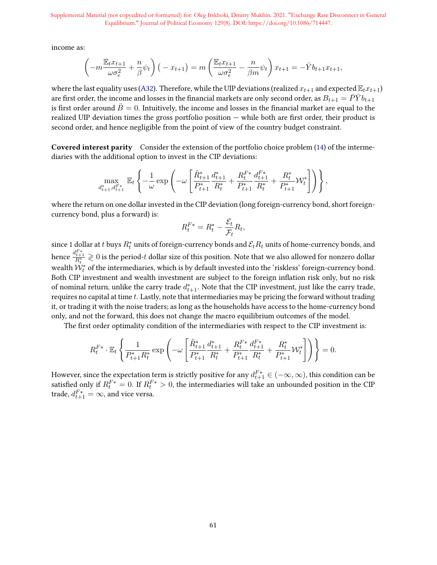income as:

$$
\left(-m\frac{\mathbb{E}_t x_{t+1}}{\omega \sigma_e^2} + \frac{n}{\beta} \psi_t\right) \left(-x_{t+1}\right) = m\left(\frac{\mathbb{E}_t x_{t+1}}{\omega \sigma_e^2} - \frac{n}{\beta m} \psi_t\right) x_{t+1} = -\bar{Y} b_{t+1} x_{t+1},
$$

where the last equality uses (A32). Therefore, while the UIP deviations (realized  $x_{t+1}$  and expected  $\mathbb{E}_t x_{t+1}$ ) are first order, the income and losses in the financial markets are only second order, as  $B_{t+1} = \bar{P} \bar{Y} b_{t+1}$ is first order around  $\bar{B}=0$ . Intuitively, the income and losses in the financial market are equal to the realized UIP deviation times the gross portfolio position  $-$  while both are first order, their product is second order, and hence negligible from the point of view of the country budget constraint.

Covered interest parity Consider the extension of the portfolio choice problem (14) of the intermediaries with the additional option to invest in the CIP deviations:

$$
\max_{d_{t+1}^*, d_{t+1}^F} \mathbb{E}_t \left\{ -\frac{1}{\omega} \exp \left( -\omega \left[ \frac{\tilde{R}_{t+1}^*}{P_{t+1}^*} \frac{d_{t+1}^*}{R_t^*} + \frac{R_t^{F*}}{P_{t+1}^*} \frac{d_{t+1}^{F*}}{R_t^*} + \frac{R_t^*}{P_{t+1}^*} \mathcal{W}_t^* \right] \right) \right\},
$$

where the return on one dollar invested in the CIP deviation (long foreign-currency bond, short foreigncurrency bond, plus a forward) is:

$$
R_t^{F*} = R_t^* - \frac{\mathcal{E}_t}{\mathcal{F}_t} R_t,
$$

since 1 dollar at t buys  $R_t^*$  units of foreign-currency bonds and  $\mathcal{E}_tR_t$  units of home-currency bonds, and hence  $\frac{d^{F*}_{t+1}}{R^*_t}\gtrless 0$  is the period- $t$  dollar size of this position. Note that we also allowed for nonzero dollar wealth  $\dot{\mathcal{W}}_t^*$  of the intermediaries, which is by default invested into the 'riskless' foreign-currency bond. Both CIP investment and wealth investment are subject to the foreign inflation risk only, but no risk of nominal return, unlike the carry trade  $d_{t+1}^*$ . Note that the CIP investment, just like the carry trade, requires no capital at time  $t$ . Lastly, note that intermediaries may be pricing the forward without trading it, or trading it with the noise traders; as long as the households have access to the home-currency bond only, and not the forward, this does not change the macro equilibrium outcomes of the model.

The first order optimality condition of the intermediaries with respect to the CIP investment is:

$$
R_t^{F*} \cdot \mathbb{E}_t \left\{ \frac{1}{P_{t+1}^* R_t^*} \exp \left( -\omega \left[ \frac{\tilde{R}_{t+1}^*}{P_{t+1}^*} \frac{d_{t+1}^*}{R_t^*} + \frac{R_t^{F*}}{P_{t+1}^*} \frac{d_{t+1}^{F*}}{R_t^*} + \frac{R_t^*}{P_{t+1}^*} \mathcal{W}_t^* \right] \right) \right\} = 0.
$$

However, since the expectation term is strictly positive for any  $d_{t+1}^{F*} \in (-\infty,\infty)$ , this condition can be satisfied only if  $R_t^{F*} = 0$ . If  $R_t^{F*} > 0$ , the intermediaries will take an unbounded position in the CIP trade,  $d_{t+1}^{F*} = \infty$ , and vice versa.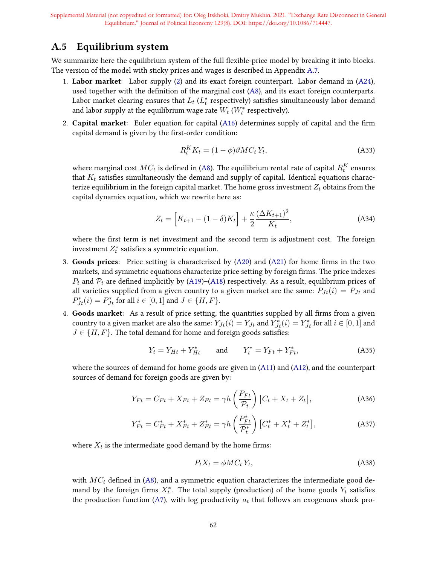# A.5 Equilibrium system

We summarize here the equilibrium system of the full flexible-price model by breaking it into blocks. The version of the model with sticky prices and wages is described in Appendix A.7.

- 1. Labor market: Labor supply (2) and its exact foreign counterpart. Labor demand in  $(A24)$ , used together with the definition of the marginal cost  $(A8)$ , and its exact foreign counterparts. Labor market clearing ensures that  $L_t$   $(L_t^*$  respectively) satisfies simultaneously labor demand and labor supply at the equilibrium wage rate  $\overline{W_t}$   $(W_t^*$  respectively).
- 2. Capital market: Euler equation for capital  $(A16)$  determines supply of capital and the firm capital demand is given by the first-order condition:

$$
R_t^K K_t = (1 - \phi) \vartheta M C_t Y_t, \tag{A33}
$$

where marginal cost  $MC_t$  is defined in (A8). The equilibrium rental rate of capital  $R^K_t$  ensures that  $K_t$  satisfies simultaneously the demand and supply of capital. Identical equations characterize equilibrium in the foreign capital market. The home gross investment  $Z_t$  obtains from the capital dynamics equation, which we rewrite here as:

$$
Z_t = \left[K_{t+1} - (1 - \delta)K_t\right] + \frac{\kappa}{2} \frac{(\Delta K_{t+1})^2}{K_t},
$$
\n(A34)

where the first term is net investment and the second term is adjustment cost. The foreign investment  $Z_t^*$  satisfies a symmetric equation.

- 3. Goods prices: Price setting is characterized by  $(A20)$  and  $(A21)$  for home firms in the two markets, and symmetric equations characterize price setting by foreign firms. The price indexes  $P_t$  and  $P_t$  are defined implicitly by (A19)–(A18) respectively. As a result, equilibrium prices of all varieties supplied from a given country to a given market are the same:  $P_{Jt}(i) = P_{Jt}$  and  $P_{Jt}^{*}(i) = P_{Jt}^{*}$  for all  $i \in [0, 1]$  and  $J \in \{H, F\}$ .
- 4. Goods market: As a result of price setting, the quantities supplied by all firms from a given country to a given market are also the same:  $Y_{Jt}(i) = Y_{Jt}$  and  $Y_{Jt}^*(i) = Y_{Jt}^*$  for all  $i \in [0,1]$  and  $J \in \{H, F\}$ . The total demand for home and foreign goods satisfies:

$$
Y_t = Y_{Ht} + Y_{Ht}^* \qquad \text{and} \qquad Y_t^* = Y_{Ft} + Y_{Ft}^*, \tag{A35}
$$

where the sources of demand for home goods are given in (A11) and (A12), and the counterpart sources of demand for foreign goods are given by:

$$
Y_{Ft} = C_{Ft} + X_{Ft} + Z_{Ft} = \gamma h \left(\frac{P_{Ft}}{\mathcal{P}_t}\right) \left[C_t + X_t + Z_t\right],\tag{A36}
$$

$$
Y_{Ft}^* = C_{Ft}^* + X_{Ft}^* + Z_{Ft}^* = \gamma h \left(\frac{P_{Ft}^*}{\mathcal{P}_t^*}\right) \left[C_t^* + X_t^* + Z_t^*\right],\tag{A37}
$$

where  $X_t$  is the intermediate good demand by the home firms:

$$
P_t X_t = \phi M C_t Y_t,\tag{A38}
$$

with  $MC_t$  defined in (A8), and a symmetric equation characterizes the intermediate good demand by the foreign firms  $X_t^*$ . The total supply (production) of the home goods  $Y_t$  satisfies the production function (A7), with log productivity  $a_t$  that follows an exogenous shock pro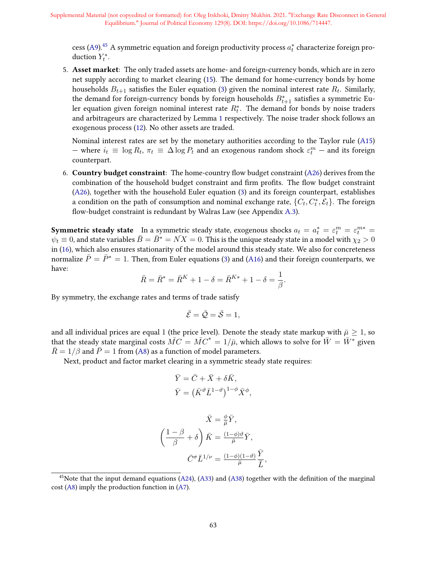cess (A9). $^{45}$  A symmetric equation and foreign productivity process  $a_t^\ast$  characterize foreign production  $Y_t^*$ .

5. Asset market: The only traded assets are home- and foreign-currency bonds, which are in zero net supply according to market clearing (15). The demand for home-currency bonds by home households  $B_{t+1}$  satisfies the Euler equation (3) given the nominal interest rate  $R_t$ . Similarly, the demand for foreign-currency bonds by foreign households  $B^*_{t+1}$  satisfies a symmetric Euler equation given foreign nominal interest rate  $R_t^*$ . The demand for bonds by noise traders and arbitrageurs are characterized by Lemma 1 respectively. The noise trader shock follows an exogenous process (12). No other assets are traded.

Nominal interest rates are set by the monetary authorities according to the Taylor rule (A15) — where  $i_t$  ≡ log  $R_t$ ,  $\pi_t$  ≡  $\Delta$  log  $P_t$  and an exogenous random shock  $\varepsilon_t^m$  – and its foreign counterpart.

6. Country budget constraint: The home-country flow budget constraint  $(A26)$  derives from the combination of the household budget constraint and firm profits. The flow budget constraint (A26), together with the household Euler equation (3) and its foreign counterpart, establishes a condition on the path of consumption and nominal exchange rate,  $\{C_t, C_t^*, \bar{\mathcal{E}}_t\}$ . The foreign flow-budget constraint is redundant by Walras Law (see Appendix A.3).

**Symmetric steady state** In a symmetric steady state, exogenous shocks  $a_t = a_t^* = \varepsilon_t^m = \varepsilon_t^{m*} =$  $\psi_t \equiv 0$ , and state variables  $\bar{B} = \bar{B}^* = N\bar{X} = 0$ . This is the unique steady state in a model with  $\chi_2 > 0$ in (16), which also ensures stationarity of the model around this steady state. We also for concreteness normalize  $\bar{P} = \bar{P}^* = 1$ . Then, from Euler equations (3) and (A16) and their foreign counterparts, we have:

$$
\bar{R}=\bar{R}^*=\bar{R}^K+1-\delta=\bar{R}^{K*}+1-\delta=\frac{1}{\beta}.
$$

By symmetry, the exchange rates and terms of trade satisfy

$$
\bar{\mathcal{E}} = \bar{\mathcal{Q}} = \bar{\mathcal{S}} = 1,
$$

and all individual prices are equal 1 (the price level). Denote the steady state markup with  $\bar{\mu} \geq 1$ , so that the steady state marginal costs  $\overline{MC} = \overline{MC}^* = 1/\overline{\mu}$ , which allows to solve for  $\overline{W} = \overline{W}^*$  given  $\overline{R} = 1/\beta$  and  $\overline{P} = 1$  from (A8) as a function of model parameters.

Next, product and factor market clearing in a symmetric steady state requires:

$$
\begin{split} \bar{Y} &= \bar{C} + \bar{X} + \delta \bar{K}, \\ \bar{Y} &= \left( \bar{K}^{\vartheta} \bar{L}^{1-\vartheta} \right)^{1-\phi} \bar{X}^{\phi}, \end{split}
$$

$$
\bar{X} = \frac{\phi}{\bar{\mu}} \bar{Y},
$$

$$
\left(\frac{1-\beta}{\beta} + \delta\right) \bar{K} = \frac{(1-\phi)\vartheta}{\bar{\mu}} \bar{Y},
$$

$$
\bar{C}^{\sigma} \bar{L}^{1/\nu} = \frac{(1-\phi)(1-\vartheta)}{\bar{\mu}} \frac{\bar{Y}}{\bar{L}},
$$

<sup>&</sup>lt;sup>45</sup>Note that the input demand equations  $(A24)$ ,  $(A33)$  and  $(A38)$  together with the definition of the marginal cost (A8) imply the production function in (A7).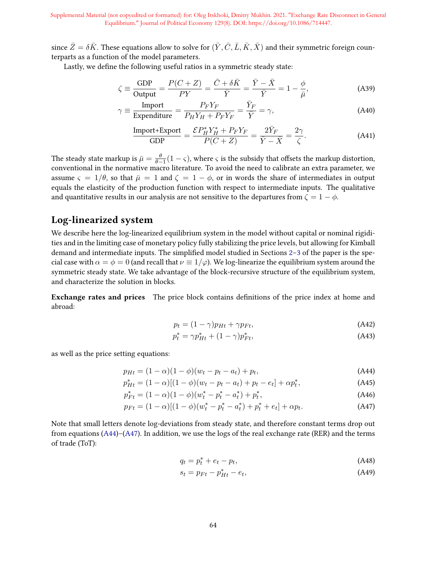since  $\bar{Z} = \delta \bar{K}$ . These equations allow to solve for  $(\bar{Y}, \bar{C}, \bar{L}, \bar{K}, \bar{X})$  and their symmetric foreign counterparts as a function of the model parameters.

Lastly, we define the following useful ratios in a symmetric steady state:

$$
\zeta \equiv \frac{\text{GDP}}{\text{Output}} = \frac{P(C+Z)}{PY} = \frac{\bar{C} + \delta \bar{K}}{\bar{Y}} = \frac{\bar{Y} - \bar{X}}{\bar{Y}} = 1 - \frac{\phi}{\bar{\mu}},\tag{A39}
$$

$$
\gamma \equiv \frac{\text{Import}}{\text{Expenditure}} = \frac{P_F Y_F}{P_H Y_H + P_F Y_F} = \frac{\bar{Y}_F}{\bar{Y}} = \gamma,
$$
\n(A40)

$$
\frac{\text{Import} + \text{Export}}{\text{GDP}} = \frac{\mathcal{E} P_H^* Y_H^* + P_F Y_F}{P(C+Z)} = \frac{2\bar{Y}_F}{\bar{Y} - \bar{X}} = \frac{2\gamma}{\zeta}.
$$
 (A41)

The steady state markup is  $\bar{\mu} = \frac{\theta}{\theta - 1}(1 - \varsigma)$ , where  $\varsigma$  is the subsidy that offsets the markup distortion, conventional in the normative macro literature. To avoid the need to calibrate an extra parameter, we assume  $\varsigma = 1/\theta$ , so that  $\bar{\mu} = 1$  and  $\zeta = 1 - \phi$ , or in words the share of intermediates in output equals the elasticity of the production function with respect to intermediate inputs. The qualitative and quantitative results in our analysis are not sensitive to the departures from  $\zeta = 1 - \phi$ .

## Log-linearized system

We describe here the log-linearized equilibrium system in the model without capital or nominal rigidities and in the limiting case of monetary policy fully stabilizing the price levels, but allowing for Kimball demand and intermediate inputs. The simplified model studied in Sections 2–3 of the paper is the special case with  $\alpha = \phi = 0$  (and recall that  $\nu \equiv 1/\varphi$ ). We log-linearize the equilibrium system around the symmetric steady state. We take advantage of the block-recursive structure of the equilibrium system, and characterize the solution in blocks.

**Exchange rates and prices** The price block contains definitions of the price index at home and abroad:

$$
p_t = (1 - \gamma)p_{Ht} + \gamma p_{Ft}, \qquad (A42)
$$

$$
p_t^* = \gamma p_{Ht}^* + (1 - \gamma)p_{Ft}^*,\tag{A43}
$$

as well as the price setting equations:

$$
p_{Ht} = (1 - \alpha)(1 - \phi)(w_t - p_t - a_t) + p_t,
$$
\n(A44)

$$
p_{Ht}^{*} = (1 - \alpha)[(1 - \phi)(w_t - p_t - a_t) + p_t - e_t] + \alpha p_t^{*},
$$
\n(A45)

$$
p_{Ft}^{*} = (1 - \alpha)(1 - \phi)(w_t^* - p_t^* - a_t^*) + p_t^*,
$$
\n(A46)

$$
p_{Ft} = (1 - \alpha)[(1 - \phi)(w_t^* - p_t^* - a_t^*) + p_t^* + e_t] + \alpha p_t.
$$
 (A47)

Note that small letters denote log-deviations from steady state, and therefore constant terms drop out from equations (A44)–(A47). In addition, we use the logs of the real exchange rate (RER) and the terms of trade (ToT):

$$
q_t = p_t^* + e_t - p_t,\tag{A48}
$$

$$
s_t = p_{Ft} - p_{Ht}^* - e_t,\tag{A49}
$$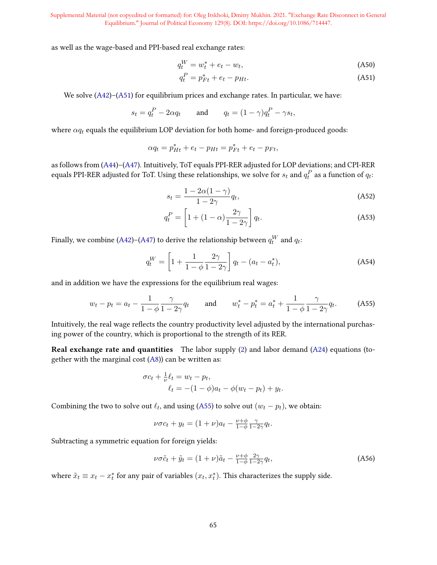as well as the wage-based and PPI-based real exchange rates:

$$
q_t^W = w_t^* + e_t - w_t,\tag{A50}
$$

$$
q_t^P = p_{Ft}^* + e_t - p_{Ht}.\tag{A51}
$$

We solve (A42)–(A51) for equilibrium prices and exchange rates. In particular, we have:

$$
s_t = q_t^P - 2\alpha q_t
$$
 and  $q_t = (1 - \gamma)q_t^P - \gamma s_t$ ,

where  $\alpha q_t$  equals the equilibrium LOP deviation for both home- and foreign-produced goods:

$$
\alpha q_t = p_{Ht}^* + e_t - p_{Ht} = p_{Ft}^* + e_t - p_{Ft},
$$

as follows from (A44)–(A47). Intuitively, ToT equals PPI-RER adjusted for LOP deviations; and CPI-RER equals PPI-RER adjusted for ToT. Using these relationships, we solve for  $s_t$  and  $q_t^P$  as a function of  $q_t$ :

$$
s_t = \frac{1 - 2\alpha(1 - \gamma)}{1 - 2\gamma} q_t,
$$
\n(A52)

$$
q_t^P = \left[1 + (1 - \alpha)\frac{2\gamma}{1 - 2\gamma}\right]q_t.
$$
 (A53)

Finally, we combine (A42)–(A47) to derive the relationship between  $q_t^W$  and  $q_t$ :

$$
q_t^W = \left[1 + \frac{1}{1 - \phi} \frac{2\gamma}{1 - 2\gamma}\right] q_t - (a_t - a_t^*),\tag{A54}
$$

and in addition we have the expressions for the equilibrium real wages:

$$
w_t - p_t = a_t - \frac{1}{1 - \phi} \frac{\gamma}{1 - 2\gamma} q_t
$$
 and  $w_t^* - p_t^* = a_t^* + \frac{1}{1 - \phi} \frac{\gamma}{1 - 2\gamma} q_t.$  (A55)

Intuitively, the real wage reflects the country productivity level adjusted by the international purchasing power of the country, which is proportional to the strength of its RER.

Real exchange rate and quantities The labor supply (2) and labor demand (A24) equations (together with the marginal cost (A8)) can be written as:

$$
\sigma c_t + \frac{1}{\nu} \ell_t = w_t - p_t,
$$
  

$$
\ell_t = -(1 - \phi)a_t - \phi(w_t - p_t) + y_t.
$$

Combining the two to solve out  $\ell_t$ , and using (A55) to solve out  $(w_t - p_t)$ , we obtain:

$$
\nu \sigma c_t + y_t = (1 + \nu)a_t - \frac{\nu + \phi}{1 - \phi} \frac{\gamma}{1 - 2\gamma} q_t.
$$

Subtracting a symmetric equation for foreign yields:

$$
\nu \sigma \tilde{c}_t + \tilde{y}_t = (1 + \nu) \tilde{a}_t - \frac{\nu + \phi}{1 - \phi} \frac{2\gamma}{1 - 2\gamma} q_t,
$$
\n(A56)

where  $\tilde{x}_t \equiv x_t - x_t^*$  for any pair of variables  $(x_t, x_t^*)$ . This characterizes the supply side.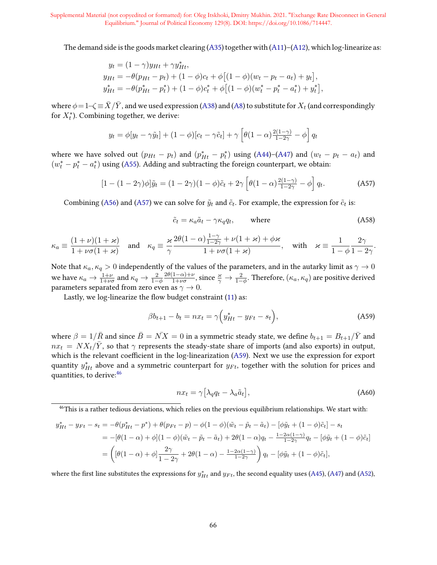The demand side is the goods market clearing (A35) together with (A11)–(A12), which log-linearize as:

$$
y_t = (1 - \gamma)y_{Ht} + \gamma y_{Ht}^*,
$$
  
\n
$$
y_{Ht} = -\theta(p_{Ht} - p_t) + (1 - \phi)c_t + \phi[(1 - \phi)(w_t - p_t - a_t) + y_t],
$$
  
\n
$$
y_{Ht}^* = -\theta(p_{Ht}^* - p_t^*) + (1 - \phi)c_t^* + \phi[(1 - \phi)(w_t^* - p_t^* - a_t^*) + y_t^*],
$$

where  $\phi\!=\!1\!-\!\zeta\!\equiv\!\bar X/\bar Y,$  and we used expression (A38) and (A8) to substitute for  $X_t$  (and correspondingly for  $X_t^*$ ). Combining together, we derive:

$$
y_t = \phi[y_t - \gamma \tilde{y}_t] + (1 - \phi)[c_t - \gamma \tilde{c}_t] + \gamma \left[\theta(1 - \alpha) \frac{2(1 - \gamma)}{1 - 2\gamma} - \phi\right] q_t
$$

where we have solved out  $(p_{Ht} - p_t)$  and  $(p_{Ht}^* - p_t^*)$  using (A44)–(A47) and  $(w_t - p_t - a_t)$  and  $(w_t^* - p_t^* - a_t^*)$  using (A55). Adding and subtracting the foreign counterpart, we obtain:

$$
[1 - (1 - 2\gamma)\phi]\tilde{y}_t = (1 - 2\gamma)(1 - \phi)\tilde{c}_t + 2\gamma \left[\theta(1 - \alpha)\frac{2(1 - \gamma)}{1 - 2\gamma} - \phi\right]q_t.
$$
 (A57)

Combining (A56) and (A57) we can solve for  $\tilde{y}_t$  and  $\tilde{c}_t$ . For example, the expression for  $\tilde{c}_t$  is:

$$
\tilde{c}_t = \kappa_a \tilde{a}_t - \gamma \kappa_q q_t, \qquad \text{where} \tag{A58}
$$

$$
\kappa_a \equiv \frac{(1+\nu)(1+\varkappa)}{1+\nu\sigma(1+\varkappa)} \quad \text{and} \quad \kappa_q \equiv \frac{\varkappa}{\gamma} \frac{2\theta(1-\alpha)\frac{1-\gamma}{1-2\gamma} + \nu(1+\varkappa) + \phi\varkappa}{1+\nu\sigma(1+\varkappa)}, \quad \text{with} \quad \varkappa \equiv \frac{1}{1-\phi} \frac{2\gamma}{1-2\gamma}.
$$

Note that  $\kappa_a,\kappa_q>0$  independently of the values of the parameters, and in the autarky limit as  $\gamma\to 0$ we have  $\kappa_a \rightarrow \frac{1+\nu}{1+\nu\sigma}$  and  $\kappa_q \rightarrow \frac{2}{1-\phi}$  $2\theta(1-\alpha)+\nu$  $\frac{1-\alpha)+\nu}{1+\nu\sigma},$  since  $\frac{\varkappa}{\gamma}\to\frac{2}{1-\phi}.$  Therefore,  $(\kappa_a,\kappa_q)$  are positive derived parameters separated from zero even as  $\gamma \to 0$ .

Lastly, we log-linearize the flow budget constraint  $(11)$  as:

$$
\beta b_{t+1} - b_t = nx_t = \gamma \Big( y_{Ht}^* - y_{Ft} - s_t \Big), \tag{A59}
$$

where  $\beta = 1/\bar{R}$  and since  $\bar{B} = \bar{N}X = 0$  in a symmetric steady state, we define  $b_{t+1} = B_{t+1}/\bar{Y}$  and  $nx_t = N X_t / \bar{Y}$ , so that  $\gamma$  represents the steady-state share of imports (and also exports) in output, which is the relevant coefficient in the log-linearization (A59). Next we use the expression for export quantity  $y_{Ht}^*$  above and a symmetric counterpart for  $y_{Ft}$ , together with the solution for prices and quantities, to derive:46

$$
nx_t = \gamma \left[ \lambda_q q_t - \lambda_a \tilde{a}_t \right],\tag{A60}
$$

$$
y_{Ht}^{*} - y_{Ft} - s_{t} = -\theta(p_{Ht}^{*} - p^{*}) + \theta(p_{Ft} - p) - \phi(1 - \phi)(\tilde{w}_{t} - \tilde{p}_{t} - \tilde{a}_{t}) - [\phi\tilde{y}_{t} + (1 - \phi)\tilde{c}_{t}] - s_{t}
$$
  
= 
$$
-[\theta(1 - \alpha) + \phi](1 - \phi)(\tilde{w}_{t} - \tilde{p}_{t} - \tilde{a}_{t}) + 2\theta(1 - \alpha)q_{t} - \frac{1 - 2\alpha(1 - \gamma)}{1 - 2\gamma}q_{t} - [\phi\tilde{y}_{t} + (1 - \phi)\tilde{c}_{t}]
$$
  
= 
$$
\left( [\theta(1 - \alpha) + \phi] \frac{2\gamma}{1 - 2\gamma} + 2\theta(1 - \alpha) - \frac{1 - 2\alpha(1 - \gamma)}{1 - 2\gamma} \right)q_{t} - [\phi\tilde{y}_{t} + (1 - \phi)\tilde{c}_{t}],
$$

where the first line substitutes the expressions for  $y^*_{Ht}$  and  $y_{Ft}$ , the second equality uses (A45), (A47) and (A52),

<sup>&</sup>lt;sup>46</sup>This is a rather tedious deviations, which relies on the previous equilibrium relationships. We start with: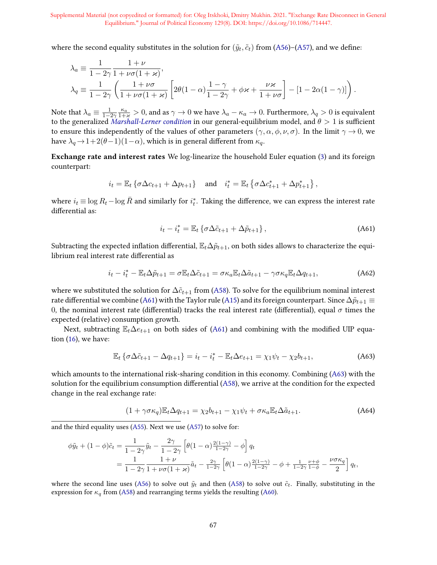where the second equality substitutes in the solution for  $(\tilde{y}_t, \tilde{c}_t)$  from (A56)–(A57), and we define:

$$
\lambda_a \equiv \frac{1}{1 - 2\gamma} \frac{1 + \nu}{1 + \nu \sigma (1 + \varkappa)},
$$
\n
$$
\lambda_q \equiv \frac{1}{1 - 2\gamma} \left( \frac{1 + \nu \sigma}{1 + \nu \sigma (1 + \varkappa)} \left[ 2\theta (1 - \alpha) \frac{1 - \gamma}{1 - 2\gamma} + \phi \varkappa + \frac{\nu \varkappa}{1 + \nu \sigma} \right] - [1 - 2\alpha (1 - \gamma)] \right).
$$

Note that  $\lambda_a\equiv\frac{1}{1-2\gamma}\frac{\kappa_a}{1+\varkappa}>0,$  and as  $\gamma\to 0$  we have  $\lambda_a-\kappa_a\to 0.$  Furthermore,  $\lambda_q>0$  is equivalent to the generalized [Marshall-Lerner condition](https://en.wikipedia.org/wiki/Marshall%E2%80%93Lerner_condition) in our general-equilibrium model, and  $\theta > 1$  is sufficient to ensure this independently of the values of other parameters  $(\gamma, \alpha, \phi, \nu, \sigma)$ . In the limit  $\gamma \to 0$ , we have  $\lambda_q \rightarrow 1+2(\theta-1)(1-\alpha)$ , which is in general different from  $\kappa_q$ .

Exchange rate and interest rates We log-linearize the household Euler equation (3) and its foreign counterpart:

$$
i_t = \mathbb{E}_t \left\{ \sigma \Delta c_{t+1} + \Delta p_{t+1} \right\} \quad \text{and} \quad i_t^* = \mathbb{E}_t \left\{ \sigma \Delta c_{t+1}^* + \Delta p_{t+1}^* \right\},
$$

where  $i_t \equiv \log R_t - \log \bar{R}$  and similarly for  $i_t^*$ . Taking the difference, we can express the interest rate differential as:

$$
i_t - i_t^* = \mathbb{E}_t \left\{ \sigma \Delta \tilde{c}_{t+1} + \Delta \tilde{p}_{t+1} \right\},\tag{A61}
$$

Subtracting the expected inflation differential,  $\mathbb{E}_t\Delta\tilde{p}_{t+1}$ , on both sides allows to characterize the equilibrium real interest rate differential as

$$
i_t - i_t^* - \mathbb{E}_t \Delta \tilde{p}_{t+1} = \sigma \mathbb{E}_t \Delta \tilde{c}_{t+1} = \sigma \kappa_a \mathbb{E}_t \Delta \tilde{a}_{t+1} - \gamma \sigma \kappa_q \mathbb{E}_t \Delta q_{t+1},
$$
\n(A62)

where we substituted the solution for  $\Delta \tilde{c}_{t+1}$  from (A58). To solve for the equilibrium nominal interest rate differential we combine (A61) with the Taylor rule (A15) and its foreign counterpart. Since  $\Delta \tilde{p}_{t+1}$   $\equiv$ 0, the nominal interest rate (differential) tracks the real interest rate (differential), equal  $\sigma$  times the expected (relative) consumption growth.

Next, subtracting  $\mathbb{E}_t\Delta e_{t+1}$  on both sides of (A61) and combining with the modified UIP equation  $(16)$ , we have:

$$
\mathbb{E}_{t} \left\{ \sigma \Delta \tilde{c}_{t+1} - \Delta q_{t+1} \right\} = i_{t} - i_{t}^{*} - \mathbb{E}_{t} \Delta e_{t+1} = \chi_{1} \psi_{t} - \chi_{2} b_{t+1}, \tag{A63}
$$

which amounts to the international risk-sharing condition in this economy. Combining (A63) with the solution for the equilibrium consumption differential  $(A58)$ , we arrive at the condition for the expected change in the real exchange rate:

$$
(1 + \gamma \sigma \kappa_q) \mathbb{E}_t \Delta q_{t+1} = \chi_2 b_{t+1} - \chi_1 \psi_t + \sigma \kappa_a \mathbb{E}_t \Delta \tilde{a}_{t+1}.
$$
 (A64)

and the third equality uses (A55). Next we use (A57) to solve for:

$$
\begin{split} \phi \tilde{y}_t + (1 - \phi)\tilde{c}_t &= \frac{1}{1 - 2\gamma} \tilde{y}_t - \frac{2\gamma}{1 - 2\gamma} \left[ \theta(1 - \alpha) \frac{2(1 - \gamma)}{1 - 2\gamma} - \phi \right] q_t \\ &= \frac{1}{1 - 2\gamma} \frac{1 + \nu}{1 + \nu \sigma (1 + \varkappa)} \tilde{a}_t - \frac{2\gamma}{1 - 2\gamma} \left[ \theta(1 - \alpha) \frac{2(1 - \gamma)}{1 - 2\gamma} - \phi + \frac{1}{1 - 2\gamma} \frac{\nu + \phi}{1 - \phi} - \frac{\nu \sigma \kappa_q}{2} \right] q_t, \end{split}
$$

where the second line uses (A56) to solve out  $\tilde{y}_t$  and then (A58) to solve out  $\tilde{c}_t$ . Finally, substituting in the expression for  $\kappa_q$  from (A58) and rearranging terms yields the resulting (A60).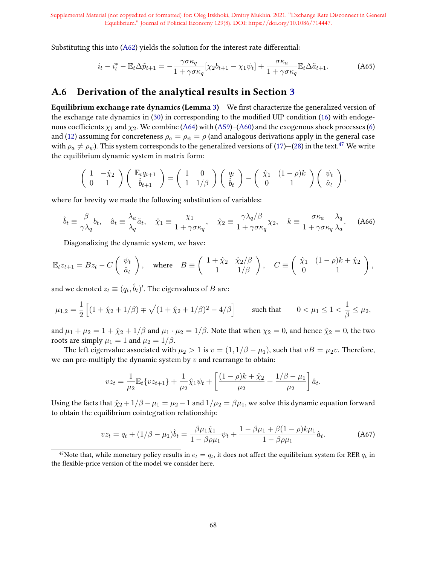Substituting this into  $(A62)$  yields the solution for the interest rate differential:

$$
i_t - i_t^* - \mathbb{E}_t \Delta \tilde{p}_{t+1} = -\frac{\gamma \sigma \kappa_q}{1 + \gamma \sigma \kappa_q} [\chi_2 b_{t+1} - \chi_1 \psi_t] + \frac{\sigma \kappa_a}{1 + \gamma \sigma \kappa_q} \mathbb{E}_t \Delta \tilde{a}_{t+1}.
$$
 (A65)

## A.6 Derivation of the analytical results in Section 3

Equilibrium exchange rate dynamics (Lemma 3) We first characterize the generalized version of the exchange rate dynamics in  $(30)$  in corresponding to the modified UIP condition  $(16)$  with endogenous coefficients  $\chi_1$  and  $\chi_2$ . We combine (A64) with (A59)–(A60) and the exogenous shock processes (6) and (12) assuming for concreteness  $\rho_a = \rho_{\psi} = \rho$  (and analogous derivations apply in the general case with  $\rho_a \neq \rho_\psi$ ). This system corresponds to the generalized versions of (17)–(28) in the text.<sup>47</sup> We write the equilibrium dynamic system in matrix form:

$$
\left(\begin{array}{cc} 1 & -\hat{\chi}_2 \\ 0 & 1 \end{array}\right) \left(\begin{array}{c} \mathbb{E}_t q_{t+1} \\ \hat{b}_{t+1} \end{array}\right) = \left(\begin{array}{cc} 1 & 0 \\ 1 & 1/\beta \end{array}\right) \left(\begin{array}{c} q_t \\ \hat{b}_t \end{array}\right) - \left(\begin{array}{cc} \hat{\chi}_1 & (1-\rho)k \\ 0 & 1 \end{array}\right) \left(\begin{array}{c} \psi_t \\ \hat{a}_t \end{array}\right),
$$

where for brevity we made the following substitution of variables:

$$
\hat{b}_t \equiv \frac{\beta}{\gamma \lambda_q} b_t, \quad \hat{a}_t \equiv \frac{\lambda_a}{\lambda_q} \tilde{a}_t, \quad \hat{\chi}_1 \equiv \frac{\chi_1}{1 + \gamma \sigma \kappa_q}, \quad \hat{\chi}_2 \equiv \frac{\gamma \lambda_q/\beta}{1 + \gamma \sigma \kappa_q} \chi_2, \quad k \equiv \frac{\sigma \kappa_a}{1 + \gamma \sigma \kappa_q} \frac{\lambda_q}{\lambda_a}.\tag{A66}
$$

Diagonalizing the dynamic system, we have:

$$
\mathbb{E}_t z_{t+1} = B z_t - C \begin{pmatrix} \psi_t \\ \hat{a}_t \end{pmatrix}, \quad \text{where} \quad B \equiv \begin{pmatrix} 1 + \hat{\chi}_2 & \hat{\chi}_2/\beta \\ 1 & 1/\beta \end{pmatrix}, \quad C \equiv \begin{pmatrix} \hat{\chi}_1 & (1 - \rho)k + \hat{\chi}_2 \\ 0 & 1 \end{pmatrix},
$$

and we denoted  $z_t \equiv (q_t, \hat{b}_t)'$ . The eigenvalues of  $B$  are:

$$
\mu_{1,2} = \frac{1}{2} \left[ (1 + \hat{\chi}_2 + 1/\beta) \mp \sqrt{(1 + \hat{\chi}_2 + 1/\beta)^2 - 4/\beta} \right] \qquad \text{such that} \qquad 0 < \mu_1 \le 1 < \frac{1}{\beta} \le \mu_2,
$$

and  $\mu_1 + \mu_2 = 1 + \hat{\chi}_2 + 1/\beta$  and  $\mu_1 \cdot \mu_2 = 1/\beta$ . Note that when  $\chi_2 = 0$ , and hence  $\hat{\chi}_2 = 0$ , the two roots are simply  $\mu_1 = 1$  and  $\mu_2 = 1/\beta$ .

The left eigenvalue associated with  $\mu_2 > 1$  is  $v = (1, 1/\beta - \mu_1)$ , such that  $vB = \mu_2 v$ . Therefore, we can pre-multiply the dynamic system by  $v$  and rearrange to obtain:

$$
vz_t = \frac{1}{\mu_2} \mathbb{E}_t \{ vz_{t+1} \} + \frac{1}{\mu_2} \hat{\chi}_1 \psi_t + \left[ \frac{(1-\rho)k + \hat{\chi}_2}{\mu_2} + \frac{1/\beta - \mu_1}{\mu_2} \right] \hat{a}_t.
$$

Using the facts that  $\hat{\chi}_2 + 1/\beta - \mu_1 = \mu_2 - 1$  and  $1/\mu_2 = \beta \mu_1$ , we solve this dynamic equation forward to obtain the equilibrium cointegration relationship:

$$
vz_t = q_t + (1/\beta - \mu_1)\hat{b}_t = \frac{\beta\mu_1\hat{\chi}_1}{1 - \beta\rho\mu_1}\psi_t + \frac{1 - \beta\mu_1 + \beta(1 - \rho)k\mu_1}{1 - \beta\rho\mu_1}\hat{a}_t.
$$
 (A67)

<sup>&</sup>lt;sup>47</sup>Note that, while monetary policy results in  $e_t = q_t$ , it does not affect the equilibrium system for RER  $q_t$  in the flexible-price version of the model we consider here.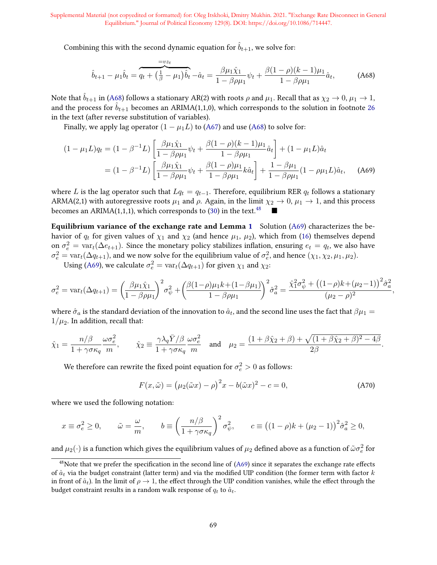Combining this with the second dynamic equation for  $b_{t+1}$ , we solve for:

$$
\hat{b}_{t+1} - \mu_1 \hat{b}_t = \underbrace{q_t + \left(\frac{1}{\beta} - \mu_1\right) \hat{b}_t}_{(4.68)}
$$
\n
$$
-\hat{a}_t = \frac{\beta \mu_1 \hat{\chi}_1}{1 - \beta \rho \mu_1} \psi_t + \frac{\beta (1 - \rho)(k - 1)\mu_1}{1 - \beta \rho \mu_1} \hat{a}_t,
$$
\n(A68)

Note that  $\hat{b}_{t+1}$  in (A68) follows a stationary AR(2) with roots  $\rho$  and  $\mu_1$ . Recall that as  $\chi_2 \to 0$ ,  $\mu_1 \to 1$ , and the process for  $\hat{b}_{t+1}$  becomes an ARIMA(1,1,0), which corresponds to the solution in footnote 26 in the text (after reverse substitution of variables).

Finally, we apply lag operator  $(1 - \mu_1 L)$  to (A67) and use (A68) to solve for:

$$
(1 - \mu_1 L)q_t = (1 - \beta^{-1} L) \left[ \frac{\beta \mu_1 \hat{\chi}_1}{1 - \beta \rho \mu_1} \psi_t + \frac{\beta (1 - \rho)(k - 1)\mu_1}{1 - \beta \rho \mu_1} \hat{a}_t \right] + (1 - \mu_1 L) \hat{a}_t
$$
  
= 
$$
(1 - \beta^{-1} L) \left[ \frac{\beta \mu_1 \hat{\chi}_1}{1 - \beta \rho \mu_1} \psi_t + \frac{\beta (1 - \rho)\mu_1}{1 - \beta \rho \mu_1} k \hat{a}_t \right] + \frac{1 - \beta \mu_1}{1 - \beta \rho \mu_1} (1 - \rho \mu_1 L) \hat{a}_t, \quad \text{(A69)}
$$

where L is the lag operator such that  $Lq_t = q_{t-1}$ . Therefore, equilibrium RER  $q_t$  follows a stationary ARMA(2,1) with autoregressive roots  $\mu_1$  and  $\rho$ . Again, in the limit  $\chi_2 \to 0$ ,  $\mu_1 \to 1$ , and this process becomes an ARIMA(1,1,1), which corresponds to (30) in the text.<sup>48</sup>

Equilibrium variance of the exchange rate and Lemma 1 Solution  $(A69)$  characterizes the behavior of  $q_t$  for given values of  $\chi_1$  and  $\chi_2$  (and hence  $\mu_1$ ,  $\mu_2$ ), which from (16) themselves depend on  $\sigma_e^2 = \text{var}_t(\Delta e_{t+1})$ . Since the monetary policy stabilizes inflation, ensuring  $e_t = q_t$ , we also have  $\sigma_e^2 = \text{var}_t(\Delta q_{t+1})$ , and we now solve for the equilibrium value of  $\sigma_e^2$ , and hence  $(\chi_1, \chi_2, \mu_1, \mu_2)$ .

Using (A69), we calculate  $\sigma_e^2 = \text{var}_t(\Delta q_{t+1})$  for given  $\chi_1$  and  $\chi_2$ :

$$
\sigma_e^2 = \text{var}_t(\Delta q_{t+1}) = \left(\frac{\beta \mu_1 \hat{\chi}_1}{1 - \beta \rho \mu_1}\right)^2 \sigma_\psi^2 + \left(\frac{\beta (1 - \rho) \mu_1 k + (1 - \beta \mu_1)}{1 - \beta \rho \mu_1}\right)^2 \hat{\sigma}_a^2 = \frac{\hat{\chi}_1^2 \sigma_\psi^2 + \left((1 - \rho) k + (\mu_2 - 1)\right)^2 \hat{\sigma}_a^2}{(\mu_2 - \rho)^2}
$$

where  $\hat{\sigma}_a$  is the standard deviation of the innovation to  $\hat{a}_t$ , and the second line uses the fact that  $\beta\mu_1=$  $1/\mu_2$ . In addition, recall that:

$$
\hat{\chi}_1 = \frac{n/\beta}{1 + \gamma \sigma \kappa_q} \frac{\omega \sigma_e^2}{m}, \qquad \hat{\chi}_2 \equiv \frac{\gamma \lambda_q \bar{Y}/\beta}{1 + \gamma \sigma \kappa_q} \frac{\omega \sigma_e^2}{m} \quad \text{and} \quad \mu_2 = \frac{(1 + \beta \hat{\chi}_2 + \beta) + \sqrt{(1 + \beta \hat{\chi}_2 + \beta)^2 - 4\beta}}{2\beta}.
$$

We therefore can rewrite the fixed point equation for  $\sigma_e^2 > 0$  as follows:

$$
F(x,\tilde{\omega}) = (\mu_2(\tilde{\omega}x) - \rho)^2 x - b(\tilde{\omega}x)^2 - c = 0,
$$
 (A70)

,

where we used the following notation:

$$
x \equiv \sigma_e^2 \ge 0, \qquad \tilde{\omega} = \frac{\omega}{m}, \qquad b \equiv \left(\frac{n/\beta}{1 + \gamma \sigma \kappa_q}\right)^2 \sigma_\psi^2, \qquad c \equiv \left((1 - \rho)k + (\mu_2 - 1)\right)^2 \hat{\sigma}_a^2 \ge 0,
$$

and  $\mu_2(\cdot)$  is a function which gives the equilibrium values of  $\mu_2$  defined above as a function of  $\tilde\omega\sigma_e^2$  for

 $48$ Note that we prefer the specification in the second line of (A69) since it separates the exchange rate effects of  $\hat{a}_t$  via the budget constraint (latter term) and via the modified UIP condition (the former term with factor k in front of  $\hat{a}_t$ ). In the limit of  $\rho \to 1$ , the effect through the UIP condition vanishes, while the effect through the budget constraint results in a random walk response of  $q_t$  to  $\hat{a}_t$ .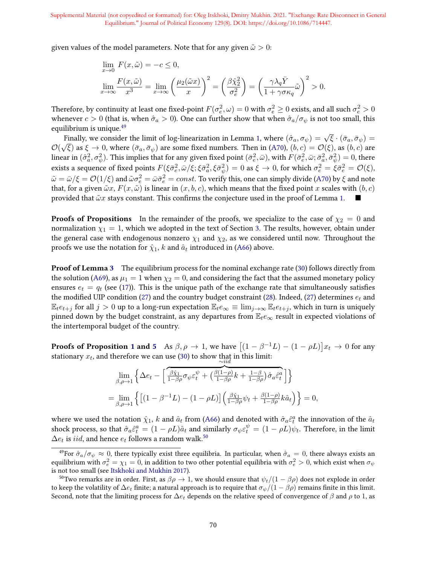given values of the model parameters. Note that for any given  $\tilde{\omega} > 0$ :

$$
\lim_{x \to 0} F(x, \tilde{\omega}) = -c \le 0,
$$
  

$$
\lim_{x \to \infty} \frac{F(x, \tilde{\omega})}{x^3} = \lim_{x \to \infty} \left(\frac{\mu_2(\tilde{\omega}x)}{x}\right)^2 = \left(\frac{\beta \hat{\chi}_2^2}{\sigma_e^2}\right) = \left(\frac{\gamma \lambda_q \bar{Y}}{1 + \gamma \sigma \kappa_q} \tilde{\omega}\right)^2 > 0.
$$

Therefore, by continuity at least one fixed-point  $F(\sigma^2_e,\omega)=0$  with  $\sigma^2_e\geq 0$  exists, and all such  $\sigma^2_e>0$ whenever  $c > 0$  (that is, when  $\hat{\sigma}_a > 0$ ). One can further show that when  $\hat{\sigma}_a/\sigma_{\psi}$  is not too small, this equilibrium is unique.<sup>49</sup>

finally, we consider the limit of log-linearization in Lemma 1, where  $(\hat{\sigma}_a, \sigma_\psi) = \sqrt{\xi} \cdot (\bar{\sigma}_a, \bar{\sigma}_\psi) =$  $\mathcal{O}(% \mathcal{O}(\mathcal{O}\sqrt{N}))=\mathcal{O}(\mathcal{O}(\mathcal{O}\sqrt{N}))$ Finary, we consider the finite of log-integration in Lemma 1, where  $(\sigma_a, \sigma_{\psi}) = \sqrt{\xi}$  as  $\xi \to 0$ , where  $(\bar{\sigma}_a, \bar{\sigma}_{\psi})$  are some fixed numbers. Then in (A70),  $(b, c) = \mathcal{O}(\xi)$ , as  $(b, c)$  are linear in  $(\hat{\sigma}_a^2,\sigma_\psi^2).$  This implies that for any given fixed point  $(\bar{\sigma}_e^2,\bar{\omega}),$  with  $F(\bar{\sigma}_e^2,\bar{\omega};\bar{\sigma}_a^2,\bar{\sigma}_\psi^2)=0,$  there exists a sequence of fixed points  $F(\xi\bar\sigma_e^2,\bar\omega/\xi;\xi\bar\sigma_a^2,\xi\bar\sigma_\psi^2)=0$  as  $\xi\to 0$ , for which  $\sigma_e^2=\xi\bar\sigma_e^2=\mathcal{O}(\xi),$  $\tilde\omega=\bar\omega/\xi={\cal O}(1/\xi)$  and  $\tilde\omega\sigma_e^2=\bar\omega\bar\sigma_e^2=const.$  To verify this, one can simply divide (A70) by  $\xi$  and note that, for a given  $\tilde{\omega}x$ ,  $F(x, \tilde{\omega})$  is linear in  $(x, b, c)$ , which means that the fixed point x scales with  $(b, c)$ provided that  $\tilde{\omega}x$  stays constant. This confirms the conjecture used in the proof of Lemma 1.

**Proofs of Propositions** In the remainder of the proofs, we specialize to the case of  $\chi_2 = 0$  and normalization  $\chi_1 = 1$ , which we adopted in the text of Section 3. The results, however, obtain under the general case with endogenous nonzero  $\chi_1$  and  $\chi_2$ , as we considered until now. Throughout the proofs we use the notation for  $\hat{\chi}_1,$   $k$  and  $\hat{a}_t$  introduced in (A66) above.

**Proof of Lemma 3** The equilibrium process for the nominal exchange rate (30) follows directly from the solution (A69), as  $\mu_1 = 1$  when  $\chi_2 = 0$ , and considering the fact that the assumed monetary policy ensures  $e_t = q_t$  (see (17)). This is the unique path of the exchange rate that simultaneously satisfies the modified UIP condition (27) and the country budget constraint (28). Indeed, (27) determines  $e_t$  and  $\mathbb{E}_t e_{t+j}$  for all  $j > 0$  up to a long-run expectation  $\mathbb{E}_t e_{\infty} \equiv \lim_{j \to \infty} \mathbb{E}_t e_{t+j}$ , which in turn is uniquely pinned down by the budget constraint, as any departures from  $E_t e_{\infty}$  result in expected violations of the intertemporal budget of the country.

**Proofs of Proposition 1 and 5** As  $\beta, \rho \to 1$ , we have  $\left[ (1 - \beta^{-1}L) - (1 - \rho L) \right] x_t \to 0$  for any stationary  $x_t$ , and therefore we can use (30) to show that in this limit:  $\sim$ iid

$$
\lim_{\beta,\rho\to 1} \left\{ \Delta e_t - \left[ \frac{\beta \hat{\chi}_1}{1-\beta \rho} \sigma_\psi \varepsilon_t^\psi + \left( \frac{\beta (1-\rho)}{1-\beta \rho} k + \frac{1-\beta}{1-\beta \rho} \right) \hat{\sigma}_a \hat{\varepsilon}_t^a \right] \right\}
$$
\n
$$
= \lim_{\beta,\rho\to 1} \left\{ \left[ (1-\beta^{-1}L) - (1-\rho L) \right] \left( \frac{\beta \hat{\chi}_1}{1-\beta \rho} \psi_t + \frac{\beta (1-\rho)}{1-\beta \rho} k \hat{a}_t \right) \right\} = 0,
$$

where we used the notation  $\hat{\chi}_1$ , k and  $\hat{a}_t$  from (A66) and denoted with  $\hat{\sigma}_a \hat{\epsilon}_t^a$  the innovation of the  $\hat{a}_t$ shock process, so that  $\hat{\sigma}_a \hat{\epsilon}^a_t = (1 - \rho L)\hat{a}_t$  and similarly  $\sigma_{\psi} \epsilon^{\psi}_t = (1 - \rho L)\psi_t$ . Therefore, in the limit  $\Delta e_t$  is *iid*, and hence  $e_t$  follows a random walk.<sup>50</sup>

<sup>&</sup>lt;sup>49</sup>For  $\hat{\sigma}_a/\sigma_\psi \approx 0$ , there typically exist three equilibria. In particular, when  $\hat{\sigma}_a = 0$ , there always exists an equilibrium with  $\sigma_e^2=\chi_1=0$ , in addition to two other potential equilibria with  $\sigma_e^2>0$ , which exist when  $\sigma_\psi$ is not too small (see Itskhoki and Mukhin 2017).

<sup>&</sup>lt;sup>50</sup>Two remarks are in order. First, as  $\beta \rho \to 1$ , we should ensure that  $\psi_t/(1 - \beta \rho)$  does not explode in order to keep the volatility of  $\Delta e_t$  finite; a natural approach is to require that  $\sigma_{\psi}/(1-\beta\rho)$  remains finite in this limit. Second, note that the limiting process for  $\Delta e_t$  depends on the relative speed of convergence of  $\beta$  and  $\rho$  to 1, as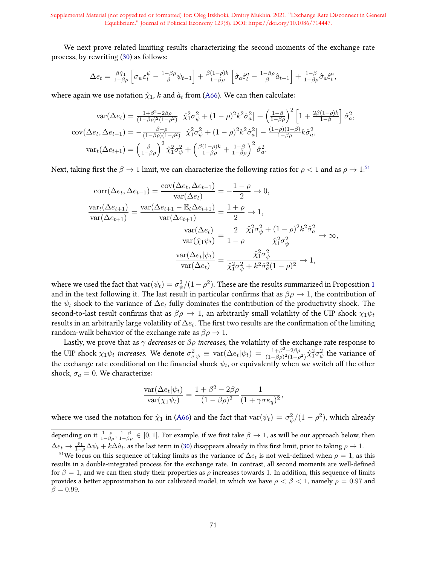We next prove related limiting results characterizing the second moments of the exchange rate process, by rewriting (30) as follows:

$$
\Delta e_t = \frac{\beta \hat{\chi}_1}{1 - \beta \rho} \left[ \sigma_{\psi} \varepsilon_t^{\psi} - \frac{1 - \beta \rho}{\beta} \psi_{t-1} \right] + \frac{\beta (1 - \rho) k}{1 - \beta \rho} \left[ \hat{\sigma}_a \hat{\varepsilon}_t^a - \frac{1 - \beta \rho}{\beta} \hat{a}_{t-1} \right] + \frac{1 - \beta}{1 - \beta \rho} \hat{\sigma}_a \hat{\varepsilon}_t^a,
$$

where again we use notation  $\hat{\chi}_1$ , k and  $\hat{a}_t$  from (A66). We can then calculate:

$$
\text{var}(\Delta e_t) = \frac{1+\beta^2 - 2\beta \rho}{(1-\beta \rho)^2 (1-\rho^2)} \left[ \hat{\chi}_1^2 \sigma_{\psi}^2 + (1-\rho)^2 k^2 \hat{\sigma}_a^2 \right] + \left( \frac{1-\beta}{1-\beta \rho} \right)^2 \left[ 1 + \frac{2\beta(1-\rho)k}{1-\beta} \right] \hat{\sigma}_a^2,
$$
  
\n
$$
\text{cov}(\Delta e_t, \Delta e_{t-1}) = -\frac{\beta - \rho}{(1-\beta \rho)(1-\rho^2)} \left[ \hat{\chi}_1^2 \sigma_{\psi}^2 + (1-\rho)^2 k^2 \hat{\sigma}_a^2 \right] - \frac{(1-\rho)(1-\beta)}{1-\beta \rho} k \hat{\sigma}_a^2,
$$
  
\n
$$
\text{var}_t(\Delta e_{t+1}) = \left( \frac{\beta}{1-\beta \rho} \right)^2 \hat{\chi}_1^2 \sigma_{\psi}^2 + \left( \frac{\beta(1-\rho)k}{1-\beta \rho} + \frac{1-\beta}{1-\beta \rho} \right)^2 \hat{\sigma}_a^2.
$$

Next, taking first the  $\beta \to 1$  limit, we can characterize the following ratios for  $\rho < 1$  and as  $\rho \to 1$ :<sup>51</sup>

$$
\text{corr}(\Delta e_t, \Delta e_{t-1}) = \frac{\text{cov}(\Delta e_t, \Delta e_{t-1})}{\text{var}(\Delta e_t)} = -\frac{1-\rho}{2} \to 0,
$$
  

$$
\frac{\text{var}_{t}(\Delta e_{t+1})}{\text{var}(\Delta e_{t+1})} = \frac{\text{var}(\Delta e_{t+1} - \mathbb{E}_t \Delta e_{t+1})}{\text{var}(\Delta e_{t+1})} = \frac{1+\rho}{2} \to 1,
$$
  

$$
\frac{\text{var}(\Delta e_t)}{\text{var}(\hat{\chi}_1 \psi_t)} = \frac{2}{1-\rho} \frac{\hat{\chi}_1^2 \sigma_\psi^2 + (1-\rho)^2 k^2 \hat{\sigma}_a^2}{\hat{\chi}_1^2 \sigma_\psi^2} \to \infty,
$$
  

$$
\frac{\text{var}(\Delta e_t | \psi_t)}{\text{var}(\Delta e_t)} = \frac{\hat{\chi}_1^2 \sigma_\psi^2}{\hat{\chi}_1^2 \sigma_\psi^2 + k^2 \hat{\sigma}_a^2 (1-\rho)^2} \to 1,
$$

where we used the fact that  $\text{var}(\psi_t)=\sigma_\psi^2/(1-\rho^2).$  These are the results summarized in Proposition 1 and in the text following it. The last result in particular confirms that as  $\beta \rho \to 1$ , the contribution of the  $\psi_t$  shock to the variance of  $\Delta e_t$  fully dominates the contribution of the productivity shock. The second-to-last result confirms that as  $\beta \rho \to 1$ , an arbitrarily small volatility of the UIP shock  $\chi_1 \psi_t$ results in an arbitrarily large volatility of  $\Delta e_t$ . The first two results are the confirmation of the limiting random-walk behavior of the exchange rate as  $\beta \rho \rightarrow 1$ .

Lastly, we prove that as  $\gamma$  *decreases* or  $\beta \rho$  *increases,* the volatility of the exchange rate response to the UIP shock  $\chi_1 \psi_t$  increases. We denote  $\sigma_{e|\psi}^2 \equiv \text{var}(\Delta e_t|\psi_t) = \frac{1+\beta^2-2\beta\rho}{(1-\beta\rho)^2(1-\rho)^2}$  $\frac{1+\beta^2-2\beta\rho}{(1-\beta\rho)^2(1-\rho^2)}$ λ $\hat{\chi}^2_1\sigma^2_{\psi}$  the variance of the exchange rate conditional on the financial shock  $\psi_t$ , or equivalently when we switch off the other shock,  $\sigma_a = 0$ . We characterize:

$$
\frac{\text{var}(\Delta e_t|\psi_t)}{\text{var}(\chi_1\psi_t)} = \frac{1+\beta^2 - 2\beta\rho}{(1-\beta\rho)^2} \frac{1}{(1+\gamma\sigma\kappa_q)^2},
$$

where we used the notation for  $\hat{\chi}_1$  in (A66) and the fact that  $\text{var}(\psi_t) = \sigma_\psi^2/(1-\rho^2)$ , which already

depending on it  $\frac{1-\rho}{1-\beta\rho}$ ,  $\frac{1-\beta}{1-\beta\rho}\in[0,1].$  For example, if we first take  $\beta\to 1$ , as will be our approach below, then  $\Delta e_t\to \frac{\hat{\chi}_1}{1-\rho}\Delta\psi_t+k\Delta\hat{a}_t,$  as the last term in (30) disappears already in this first limit, prior to taking  $\rho\to 1.$ 

<sup>&</sup>lt;sup>51</sup>We focus on this sequence of taking limits as the variance of  $\Delta e_t$  is not well-defined when  $\rho = 1$ , as this results in a double-integrated process for the exchange rate. In contrast, all second moments are well-defined for  $\beta = 1$ , and we can then study their properties as  $\rho$  increases towards 1. In addition, this sequence of limits provides a better approximation to our calibrated model, in which we have  $\rho < \beta < 1$ , namely  $\rho = 0.97$  and  $\beta = 0.99$ .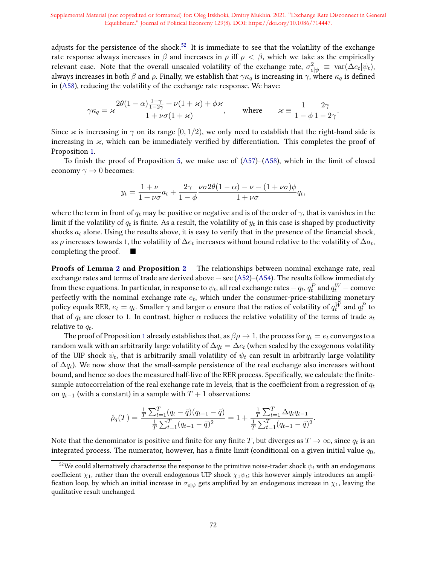adjusts for the persistence of the shock.<sup>52</sup> It is immediate to see that the volatility of the exchange rate response always increases in  $\beta$  and increases in  $\rho$  iff  $\rho < \beta$ , which we take as the empirically relevant case. Note that the overall unscaled volatility of the exchange rate,  $\sigma_{e|\psi}^2\,\equiv\,\text{var}(\Delta e_t|\psi_t),$ always increases in both  $\beta$  and  $\rho$ . Finally, we establish that  $\gamma \kappa_q$  is increasing in  $\gamma$ , where  $\kappa_q$  is defined in (A58), reducing the volatility of the exchange rate response. We have:

$$
\gamma \kappa_q = \varkappa \frac{2\theta(1-\alpha)\frac{1-\gamma}{1-2\gamma} + \nu(1+\varkappa) + \phi\varkappa}{1+\nu\sigma(1+\varkappa)}, \qquad \text{where} \qquad \varkappa \equiv \frac{1}{1-\phi}\frac{2\gamma}{1-2\gamma}.
$$

Since  $\varkappa$  is increasing in  $\gamma$  on its range [0, 1/2), we only need to establish that the right-hand side is increasing in  $\varkappa$ , which can be immediately verified by differentiation. This completes the proof of Proposition 1.

To finish the proof of Proposition 5, we make use of  $(A57)$ – $(A58)$ , which in the limit of closed economy  $\gamma \to 0$  becomes:

$$
y_t = \frac{1+\nu}{1+\nu\sigma}a_t + \frac{2\gamma}{1-\phi}\frac{\nu\sigma 2\theta(1-\alpha) - \nu - (1+\nu\sigma)\phi}{1+\nu\sigma}q_t,
$$

where the term in front of  $q_t$  may be positive or negative and is of the order of  $\gamma$ , that is vanishes in the limit if the volatility of  $q_t$  is finite. As a result, the volatility of  $y_t$  in this case is shaped by productivity shocks  $a_t$  alone. Using the results above, it is easy to verify that in the presence of the financial shock, as  $\rho$  increases towards 1, the volatility of  $\Delta e_t$  increases without bound relative to the volatility of  $\Delta a_t$ , completing the proof.

Proofs of Lemma 2 and Proposition 2 The relationships between nominal exchange rate, real exchange rates and terms of trade are derived above  $-$  see (A52)–(A54). The results follow immediately from these equations. In particular, in response to  $\psi_t$ , all real exchange rates —  $q_t, q_t^P$  and  $q_t^W$  — comove perfectly with the nominal exchange rate  $e_t$ , which under the consumer-price-stabilizing monetary policy equals RER,  $e_t = q_t.$  Smaller  $\gamma$  and larger  $\alpha$  ensure that the ratios of volatility of  $q_t^W$  and  $q_t^P$  to that of  $q_t$  are closer to 1. In contrast, higher  $\alpha$  reduces the relative volatility of the terms of trade  $s_t$ relative to  $q_t$ .

The proof of Proposition 1 already establishes that, as  $\beta \rho \to 1$ , the process for  $q_t = e_t$  converges to a random walk with an arbitrarily large volatility of  $\Delta q_t = \Delta e_t$  (when scaled by the exogenous volatility of the UIP shock  $\psi_t$ , that is arbitrarily small volatility of  $\psi_t$  can result in arbitrarily large volatility of  $\Delta q_t$ ). We now show that the small-sample persistence of the real exchange also increases without bound, and hence so does the measured half-live of the RER process. Specifically, we calculate the finitesample autocorrelation of the real exchange rate in levels, that is the coefficient from a regression of  $q_t$ on  $q_{t-1}$  (with a constant) in a sample with  $T + 1$  observations:

$$
\hat{\rho}_q(T) = \frac{\frac{1}{T} \sum_{t=1}^T (q_t - \bar{q})(q_{t-1} - \bar{q})}{\frac{1}{T} \sum_{t=1}^T (q_{t-1} - \bar{q})^2} = 1 + \frac{\frac{1}{T} \sum_{t=1}^T \Delta q_t q_{t-1}}{\frac{1}{T} \sum_{t=1}^T (q_{t-1} - \bar{q})^2}.
$$

Note that the denominator is positive and finite for any finite  $T$ , but diverges as  $T\to\infty$ , since  $q_t$  is an integrated process. The numerator, however, has a finite limit (conditional on a given initial value  $q_0$ ,

<sup>&</sup>lt;sup>52</sup>We could alternatively characterize the response to the primitive noise-trader shock  $\psi_t$  with an endogenous coefficient  $\chi_1$ , rather than the overall endogenous UIP shock  $\chi_1 \psi_t$ ; this however simply introduces an amplification loop, by which an initial increase in  $\sigma_{e|w}$  gets amplified by an endogenous increase in  $\chi_1$ , leaving the qualitative result unchanged.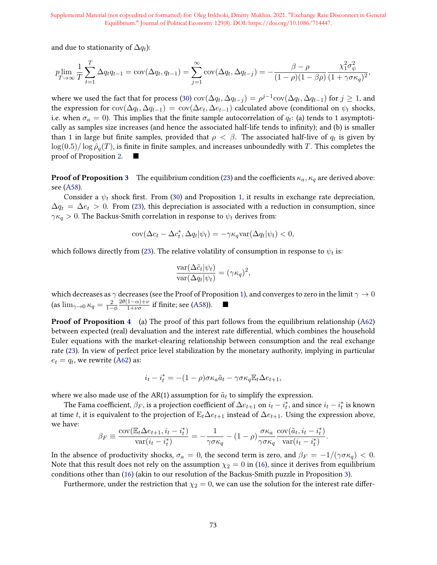and due to stationarity of  $\Delta q_t$ ):

$$
p\lim_{T \to \infty} \frac{1}{T} \sum_{t=1}^{T} \Delta q_t q_{t-1} = \text{cov}(\Delta q_t, q_{t-1}) = \sum_{j=1}^{\infty} \text{cov}(\Delta q_t, \Delta q_{t-j}) = -\frac{\beta - \rho}{(1 - \rho)(1 - \beta \rho)} \frac{\chi_1^2 \sigma_\psi^2}{(1 + \gamma \sigma \kappa_q)^2},
$$

where we used the fact that for process (30)  $\text{cov}(\Delta q_t, \Delta q_{t-j}) = \rho^{j-1} \text{cov}(\Delta q_t, \Delta q_{t-1})$  for  $j \ge 1$ , and the expression for  $\text{cov}(\Delta q_t, \Delta q_{t-1}) = \text{cov}(\Delta e_t, \Delta e_{t-1})$  calculated above (conditional on  $\psi_t$  shocks, i.e. when  $\sigma_a = 0$ ). This implies that the finite sample autocorrelation of  $q_t$ : (a) tends to 1 asymptotically as samples size increases (and hence the associated half-life tends to infinity); and (b) is smaller than 1 in large but finite samples, provided that  $\rho < \beta$ . The associated half-live of  $q_t$  is given by  $\log(0.5)/\log \hat{\rho}_q(T)$ , is finite in finite samples, and increases unboundedly with T. This completes the proof of Proposition 2.

**Proof of Proposition 3** The equilibrium condition (23) and the coefficients  $\kappa_a$ ,  $\kappa_q$  are derived above: see (A58).

Consider a  $\psi_t$  shock first. From (30) and Proposition 1, it results in exchange rate depreciation,  $\Delta q_t = \Delta e_t > 0$ . From (23), this depreciation is associated with a reduction in consumption, since  $\gamma \kappa_q > 0$ . The Backus-Smith correlation in response to  $\psi_t$  derives from:

$$
cov(\Delta c_t - \Delta c_t^*, \Delta q_t | \psi_t) = -\gamma \kappa_q \text{var}(\Delta q_t | \psi_t) < 0,
$$

which follows directly from (23). The relative volatility of consumption in response to  $\psi_t$  is:

$$
\frac{\text{var}(\Delta \tilde{c}_t | \psi_t)}{\text{var}(\Delta q_t | \psi_t)} = (\gamma \kappa_q)^2,
$$

which decreases as  $\gamma$  decreases (see the Proof of Proposition 1), and converges to zero in the limit  $\gamma \to 0$ (as  $\lim_{\gamma \to 0} \kappa_q = \frac{2}{1-\phi}$  $2\theta(1-\alpha)+\nu$  $\frac{1-\alpha)+\nu}{1+\nu\sigma}$  if finite; see (A58)). ■

**Proof of Proposition 4** (a) The proof of this part follows from the equilibrium relationship (A62) between expected (real) devaluation and the interest rate differential, which combines the household Euler equations with the market-clearing relationship between consumption and the real exchange rate (23). In view of perfect price level stabilization by the monetary authority, implying in particular  $e_t = q_t$ , we rewrite (A62) as:

$$
i_t - i_t^* = -(1-\rho)\sigma \kappa_a \tilde{a}_t - \gamma \sigma \kappa_q \mathbb{E}_t \Delta e_{t+1},
$$

where we also made use of the AR(1) assumption for  $\tilde{a}_t$  to simplify the expression.

The Fama coefficient,  $\beta_F$ , is a projection coefficient of  $\Delta e_{t+1}$  on  $i_t-i_t^*$ , and since  $i_t-i_t^*$  is known at time t, it is equivalent to the projection of  $E_t\Delta e_{t+1}$  instead of  $\Delta e_{t+1}$ . Using the expression above, we have:

$$
\beta_F \equiv \frac{\text{cov}(\mathbb{E}_t \Delta e_{t+1}, i_t - i_t^*)}{\text{var}(i_t - i_t^*)} = -\frac{1}{\gamma \sigma \kappa_q} - (1 - \rho) \frac{\sigma \kappa_a}{\gamma \sigma \kappa_q} \frac{\text{cov}(\tilde{a}_t, i_t - i_t^*)}{\text{var}(i_t - i_t^*)}.
$$

In the absence of productivity shocks,  $\sigma_a = 0$ , the second term is zero, and  $\beta_F = -1/(\gamma \sigma \kappa_q) < 0$ . Note that this result does not rely on the assumption  $\chi_2 = 0$  in (16), since it derives from equilibrium conditions other than (16) (akin to our resolution of the Backus-Smith puzzle in Proposition 3).

Furthermore, under the restriction that  $\chi_2 = 0$ , we can use the solution for the interest rate differ-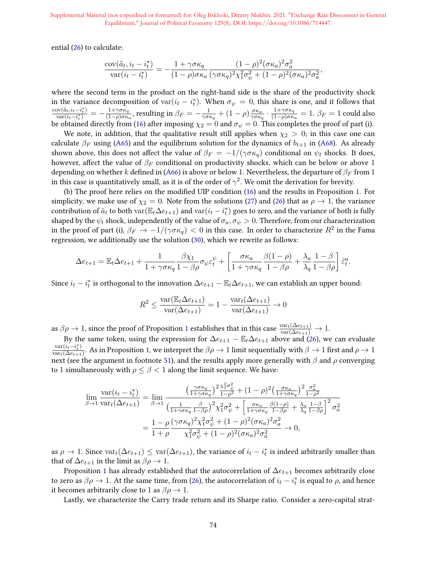ential (26) to calculate:

$$
\frac{\mathrm{cov}(\tilde{a}_t, i_t - i_t^*)}{\mathrm{var}(i_t - i_t^*)} = -\frac{1 + \gamma \sigma \kappa_q}{(1 - \rho) \sigma \kappa_a} \frac{(1 - \rho)^2 (\sigma \kappa_a)^2 \sigma_a^2}{(\gamma \sigma \kappa_q)^2 \chi_1^2 \sigma_\psi^2 + (1 - \rho)^2 (\sigma \kappa_a)^2 \sigma_a^2},
$$

where the second term in the product on the right-hand side is the share of the productivity shock in the variance decomposition of var $(i_t - i_t^*)$ . When  $\sigma_{\psi} = 0$ , this share is one, and it follows that  $\text{cov}(\tilde{a}_t, i_t - i_t^*)$  $\frac{\mathrm{d}\mathrm{d}\mathrm{v}(\tilde{a}_t,i_t-i_t^*)}{\mathrm{var}(i_t-i_t^*)} = -\frac{1+\gamma\sigma\kappa_q}{(1-\rho)\sigma\kappa_q}$  $\frac{1+\gamma\sigma\kappa_q}{(1-\rho)\sigma\kappa_a}$ , resulting in  $\beta_F=-\frac{1}{\gamma\sigma\kappa_a}$  $\frac{1}{\gamma \sigma \kappa_q} + (1 - \rho) \frac{\sigma \kappa_a}{\gamma \sigma \kappa_e}$  $\frac{\sigma \kappa_a}{\gamma \sigma \kappa_q} \cdot \frac{1 + \gamma \sigma \kappa_q}{(1 - \rho) \sigma \kappa_q}$  $\frac{1+\gamma\sigma\kappa_q}{(1-\rho)\sigma\kappa_a}=1.$   $\beta_F=1$  could also be obtained directly from (16) after imposing  $\chi_2 = 0$  and  $\sigma_\psi = 0$ . This completes the proof of part (i).

We note, in addition, that the qualitative result still applies when  $\chi_2 > 0$ ; in this case one can calculate  $\beta_F$  using (A65) and the equilibrium solution for the dynamics of  $b_{t+1}$  in (A68). As already shown above, this does not affect the value of  $\beta_F = -1/(\gamma \sigma \kappa_q)$  conditional on  $\psi_t$  shocks. It does, however, affect the value of  $\beta_F$  conditional on productivity shocks, which can be below or above 1 depending on whether k defined in (A66) is above or below 1. Nevertheless, the departure of  $\beta_F$  from 1 in this case is quantitatively small, as it is of the order of  $\gamma^2$ . We omit the derivation for brevity.

(b) The proof here relies on the modified UIP condition (16) and the results in Proposition 1. For simplicity, we make use of  $\chi_2 = 0$ . Note from the solutions (27) and (26) that as  $\rho \to 1$ , the variance contribution of  $\tilde a_t$  to both  $\text{var}(\mathbb{E}_t\Delta e_{t+1})$  and  $\text{var}(i_t-i_t^*)$  goes to zero, and the variance of both is fully shaped by the  $\psi_t$  shock, independently of the value of  $\sigma_a, \sigma_\psi > 0$ . Therefore, from our characterization in the proof of part (i),  $\beta_F \to -1/(\gamma \sigma \kappa_q) < 0$  in this case. In order to characterize  $R^2$  in the Fama regression, we additionally use the solution (30), which we rewrite as follows:

$$
\Delta e_{t+1} = \mathbb{E}_t \Delta e_{t+1} + \frac{1}{1 + \gamma \sigma \kappa_q} \frac{\beta \chi_1}{1 - \beta \rho} \sigma_{\psi} \varepsilon_t^{\psi} + \left[ \frac{\sigma \kappa_a}{1 + \gamma \sigma \kappa_q} \frac{\beta (1 - \rho)}{1 - \beta \rho} + \frac{\lambda_a}{\lambda_q} \frac{1 - \beta}{1 - \beta \rho} \right] \tilde{\varepsilon}_t^a.
$$

Since  $i_t - i_t^*$  is orthogonal to the innovation  $\Delta e_{t+1} - \mathbb{E}_t \Delta e_{t+1}$ , we can establish an upper bound:

$$
R^{2} \le \frac{\operatorname{var}(\mathbb{E}_{t}\Delta e_{t+1})}{\operatorname{var}(\Delta e_{t+1})} = 1 - \frac{\operatorname{var}_{t}(\Delta e_{t+1})}{\operatorname{var}(\Delta e_{t+1})} \to 0
$$

as  $\beta \rho \to 1$ , since the proof of Proposition 1 establishes that in this case  $\frac{\text{var}_t(\Delta e_{t+1})}{\text{var}(\Delta e_{t+1})} \to 1$ .

By the same token, using the expression for  $\Delta e_{t+1} - \mathbb{E}_t \Delta e_{t+1}$  above and (26), we can evaluate  $var(i_t - i_t^*)$  $\frac{\text{var}(i_t-i_t^*)}{\text{var}_t(\Delta e_{t+1})}.$  As in Proposition 1, we interpret the  $\beta\rho\to 1$  limit sequentially with  $\beta\to 1$  first and  $\rho\to 1$ next (see the argument in footnote 51), and the results apply more generally with  $\beta$  and  $\rho$  converging to 1 simultaneously with  $\rho \leq \beta < 1$  along the limit sequence. We have:

$$
\lim_{\beta \to 1} \frac{\text{var}(i_t - i_t^*)}{\text{var}_t(\Delta e_{t+1})} = \lim_{\beta \to 1} \frac{\left(\frac{\gamma \sigma \kappa_q}{1 + \gamma \sigma \kappa_q}\right)^2 \frac{\chi_1^2 \sigma_\psi^2}{1 - \rho^2} + (1 - \rho)^2 \left(\frac{\sigma \kappa_a}{1 + \gamma \sigma \kappa_q}\right)^2 \frac{\sigma_a^2}{1 - \rho^2}}{\left(\frac{1}{1 + \gamma \sigma \kappa_q} \frac{\beta}{1 - \beta \rho}\right)^2 \chi_1^2 \sigma_\psi^2 + \left[\frac{\sigma \kappa_a}{1 + \gamma \sigma \kappa_q} \frac{\beta(1 - \rho)}{1 - \beta \rho} + \frac{\lambda_a}{\lambda_q} \frac{1 - \beta}{1 - \beta \rho}\right]^2 \sigma_a^2}
$$

$$
= \frac{1 - \rho}{1 + \rho} \frac{(\gamma \sigma \kappa_q)^2 \chi_1^2 \sigma_\psi^2 + (1 - \rho)^2 (\sigma \kappa_a)^2 \sigma_a^2}{\chi_1^2 \sigma_\psi^2 + (1 - \rho)^2 (\sigma \kappa_a)^2 \sigma_a^2} \to 0,
$$

as  $\rho \to 1$ . Since  $\text{var}_t(\Delta e_{t+1}) \leq \text{var}(\Delta e_{t+1})$ , the variance of  $i_t - i_t^*$  is indeed arbitrarily smaller than that of  $\Delta e_{t+1}$  in the limit as  $\beta \rho \rightarrow 1$ .

Proposition 1 has already established that the autocorrelation of  $\Delta e_{t+1}$  becomes arbitrarily close to zero as  $\beta \rho \to 1$ . At the same time, from (26), the autocorrelation of  $i_t - i_t^*$  is equal to  $\rho$ , and hence it becomes arbitrarily close to 1 as  $\beta \rho \rightarrow 1$ .

Lastly, we characterize the Carry trade return and its Sharpe ratio. Consider a zero-capital strat-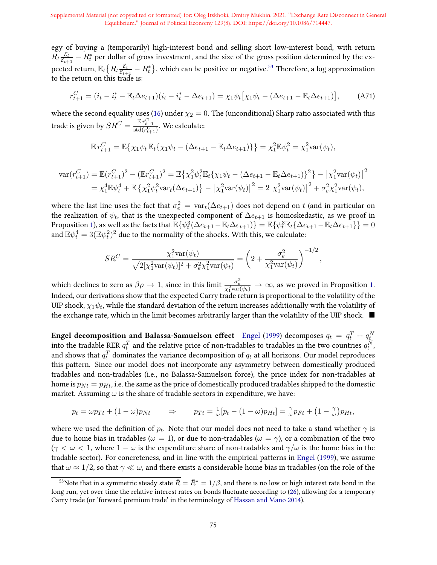egy of buying a (temporarily) high-interest bond and selling short low-interest bond, with return  $R_t \frac{\mathcal{E}_t}{\mathcal{E}_{t\perp}}$  $\frac{\mathcal{E}_{t}}{\mathcal{E}_{t+1}}-R^*_{t}$  per dollar of gross investment, and the size of the gross position determined by the expected return,  $\mathbb{E}_t\big\{R_t \frac{\mathcal{E}_t}{\mathcal{E}_{t+1}}\big\}$  $\frac{\mathcal{E}_{t}}{\mathcal{E}_{t+1}} - R^*_t\big\}$ , which can be positive or negative. $^{53}$  Therefore, a log approximation to the return on this trade is:

$$
r_{t+1}^C = (i_t - i_t^* - \mathbb{E}_t \Delta e_{t+1})(i_t - i_t^* - \Delta e_{t+1}) = \chi_1 \psi_t \left[ \chi_1 \psi_t - (\Delta e_{t+1} - \mathbb{E}_t \Delta e_{t+1}) \right],\tag{A71}
$$

where the second equality uses (16) under  $\chi_2 = 0$ . The (unconditional) Sharp ratio associated with this trade is given by  $SR^C = \frac{\mathbb{E} r_{t+1}^C}{\text{std}(r_{t+1}^C)}$ . We calculate:

$$
\mathbb{E} r_{t+1}^C = \mathbb{E} \{ \chi_1 \psi_t \mathbb{E}_t \{ \chi_1 \psi_t - (\Delta e_{t+1} - \mathbb{E}_t \Delta e_{t+1}) \} \} = \chi_1^2 \mathbb{E} \psi_t^2 = \chi_1^2 \text{var}(\psi_t),
$$

$$
\begin{split} \text{var}(r_{t+1}^C) &= \mathbb{E}(r_{t+1}^C)^2 - (\mathbb{E}r_{t+1}^C)^2 = \mathbb{E}\left\{\chi_1^2\psi_t^2\mathbb{E}_t\{\chi_1\psi_t - (\Delta e_{t+1} - \mathbb{E}_t\Delta e_{t+1})\}^2\right\} - \left[\chi_1^2\text{var}(\psi_t)\right]^2 \\ &= \chi_1^4\mathbb{E}\psi_t^4 + \mathbb{E}\left\{\chi_1^2\psi_t^2\text{var}_t(\Delta e_{t+1})\right\} - \left[\chi_1^2\text{var}(\psi_t)\right]^2 = 2\left[\chi_1^2\text{var}(\psi_t)\right]^2 + \sigma_e^2\chi_1^2\text{var}(\psi_t), \end{split}
$$

where the last line uses the fact that  $\sigma_e^2 = \text{var}_t(\Delta e_{t+1})$  does not depend on t (and in particular on the realization of  $\psi_t$ , that is the unexpected component of  $\Delta e_{t+1}$  is homoskedastic, as we proof in Proposition 1), as well as the facts that  $\mathbb{E}\{\psi_t^3(\Delta e_{t+1} - \mathbb{E}_t\Delta e_{t+1})\} = \mathbb{E}\{\psi_t^3\mathbb{E}_t\{\Delta e_{t+1} - \mathbb{E}_t\Delta e_{t+1}\}\} = 0$ and  $\mathbb{E} \psi_t^4 = 3 (\mathbb{E} \psi_t^2)^2$  due to the normality of the shocks. With this, we calculate:

$$
SR^{C} = \frac{\chi_1^2 \text{var}(\psi_t)}{\sqrt{2[\chi_1^2 \text{var}(\psi_t)]^2 + \sigma_e^2 \chi_1^2 \text{var}(\psi_t)}} = \left(2 + \frac{\sigma_e^2}{\chi_1^2 \text{var}(\psi_t)}\right)^{-1/2},
$$

which declines to zero as  $\beta \rho \to 1$ , since in this limit  $\frac{\sigma_e^2}{\chi_1^2 \text{var}(\psi_t)} \to \infty$ , as we proved in Proposition 1. Indeed, our derivations show that the expected Carry trade return is proportional to the volatility of the UIP shock,  $\chi_1 \psi_t$ , while the standard deviation of the return increases additionally with the volatility of the exchange rate, which in the limit becomes arbitrarily larger than the volatility of the UIP shock.  $\blacksquare$ 

Engel decomposition and Balassa-Samuelson effect  $\;$  Engel (1999) decomposes  $q_t \, = \, q_t^T + q_t^N$ into the tradable RER  $q_t^T$  and the relative price of non-tradables to tradables in the two countries  $q_t^N$ , and shows that  $q_t^T$  dominates the variance decomposition of  $q_t$  at all horizons. Our model reproduces this pattern. Since our model does not incorporate any asymmetry between domestically produced tradables and non-tradables (i.e., no Balassa-Samuelson force), the price index for non-tradables at home is  $p_{Nt} = p_{Ht}$ , i.e. the same as the price of domestically produced tradables shipped to the domestic market. Assuming  $\omega$  is the share of tradable sectors in expenditure, we have:

$$
p_t = \omega p_{Tt} + (1 - \omega)p_{Nt} \qquad \Rightarrow \qquad p_{Tt} = \frac{1}{\omega}[p_t - (1 - \omega)p_{Ht}] = \frac{\gamma}{\omega}p_{Ft} + (1 - \frac{\gamma}{\omega})p_{Ht},
$$

where we used the definition of  $p_t.$  Note that our model does not need to take a stand whether  $\gamma$  is due to home bias in tradables ( $\omega = 1$ ), or due to non-tradables ( $\omega = \gamma$ ), or a combination of the two  $(\gamma < \omega < 1$ , where  $1 - \omega$  is the expenditure share of non-tradables and  $\gamma/\omega$  is the home bias in the tradable sector). For concreteness, and in line with the empirical patterns in Engel (1999), we assume that  $\omega \approx 1/2$ , so that  $\gamma \ll \omega$ , and there exists a considerable home bias in tradables (on the role of the

<sup>&</sup>lt;sup>53</sup>Note that in a symmetric steady state  $\bar{R} = \bar{R}^* = 1/\beta$ , and there is no low or high interest rate bond in the long run, yet over time the relative interest rates on bonds fluctuate according to (26), allowing for a temporary Carry trade (or 'forward premium trade' in the terminology of Hassan and Mano 2014).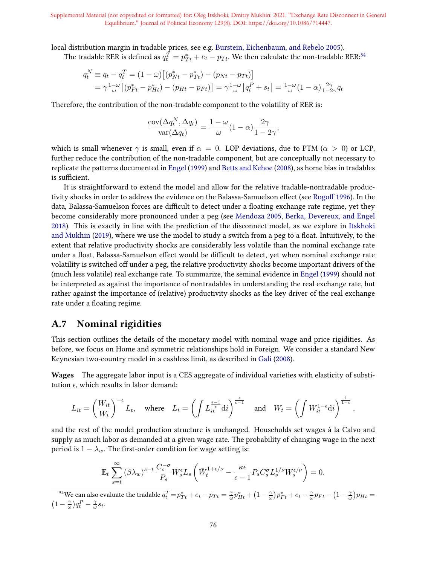local distribution margin in tradable prices, see e.g. Burstein, Eichenbaum, and Rebelo 2005).

The tradable RER is defined as  $q_t^{\hat{T}} = p_{Tt}^* + e_t - p_{Tt}$ . We then calculate the non-tradable RER:<sup>54</sup>

$$
q_t^N \equiv q_t - q_t^T = (1 - \omega) \left[ (p_{Nt}^* - p_{Tt}^*) - (p_{Nt} - p_{Tt}) \right] = \gamma \frac{1 - \omega}{\omega} \left[ (p_{Ft}^* - p_{Ht}^*) - (p_{Ht} - p_{Ft}) \right] = \gamma \frac{1 - \omega}{\omega} \left[ q_t^P + s_t \right] = \frac{1 - \omega}{\omega} (1 - \alpha) \frac{2\gamma}{1 - 2\gamma} q_t
$$

Therefore, the contribution of the non-tradable component to the volatility of RER is:

$$
\frac{\text{cov}(\Delta q^N_t, \Delta q_t)}{\text{var}(\Delta q_t)} = \frac{1 - \omega}{\omega} (1 - \alpha) \frac{2\gamma}{1 - 2\gamma},
$$

which is small whenever  $\gamma$  is small, even if  $\alpha = 0$ . LOP deviations, due to PTM ( $\alpha > 0$ ) or LCP, further reduce the contribution of the non-tradable component, but are conceptually not necessary to replicate the patterns documented in Engel (1999) and Betts and Kehoe (2008), as home bias in tradables is sufficient.

It is straightforward to extend the model and allow for the relative tradable-nontradable productivity shocks in order to address the evidence on the Balassa-Samuelson effect (see Rogoff 1996). In the data, Balassa-Samuelson forces are difficult to detect under a floating exchange rate regime, yet they become considerably more pronounced under a peg (see Mendoza 2005, Berka, Devereux, and Engel 2018). This is exactly in line with the prediction of the disconnect model, as we explore in Itskhoki and Mukhin (2019), where we use the model to study a switch from a peg to a float. Intuitively, to the extent that relative productivity shocks are considerably less volatile than the nominal exchange rate under a float, Balassa-Samuelson effect would be difficult to detect, yet when nominal exchange rate volatility is switched off under a peg, the relative productivity shocks become important drivers of the (much less volatile) real exchange rate. To summarize, the seminal evidence in Engel (1999) should not be interpreted as against the importance of nontradables in understanding the real exchange rate, but rather against the importance of (relative) productivity shocks as the key driver of the real exchange rate under a floating regime.

# A.7 Nominal rigidities

This section outlines the details of the monetary model with nominal wage and price rigidities. As before, we focus on Home and symmetric relationships hold in Foreign. We consider a standard New Keynesian two-country model in a cashless limit, as described in Galí (2008).

Wages The aggregate labor input is a CES aggregate of individual varieties with elasticity of substitution  $\epsilon$ , which results in labor demand:

$$
L_{it} = \left(\frac{W_{it}}{W_t}\right)^{-\epsilon} L_t, \quad \text{where} \quad L_t = \left(\int L_{it}^{\frac{\epsilon - 1}{\epsilon}} \mathrm{d}i\right)^{\frac{\epsilon}{\epsilon - 1}} \quad \text{and} \quad W_t = \left(\int W_{it}^{1-\epsilon} \mathrm{d}i\right)^{\frac{1}{1-\epsilon}},
$$

and the rest of the model production structure is unchanged. Households set wages à la Calvo and supply as much labor as demanded at a given wage rate. The probability of changing wage in the next period is  $1 - \lambda_w$ . The first-order condition for wage setting is:

$$
\mathbb{E}_t \sum_{s=t}^\infty (\beta \lambda_w)^{s-t} \, \frac{C_s^{-\sigma}}{P_s} W^\epsilon_s L_s \left( \bar{W}^{1+\epsilon/\nu}_t - \frac{\kappa \epsilon}{\epsilon-1} P_s C_s^\sigma L_s^{1/\nu} W^{\epsilon/\nu}_s \right) = 0.
$$

<sup>54</sup>We can also evaluate the tradable  $q_t^T = p_{T t}^* + e_t - p_{T t} = \frac{\gamma}{\omega} p_{H t}^* + (1 - \frac{\gamma}{\omega}) p_{F t}^* + e_t - \frac{\gamma}{\omega} p_{F t} - (1 - \frac{\gamma}{\omega}) p_{H t} =$  $(1-\frac{\gamma}{\omega})q_t^P - \frac{\gamma}{\omega} s_t.$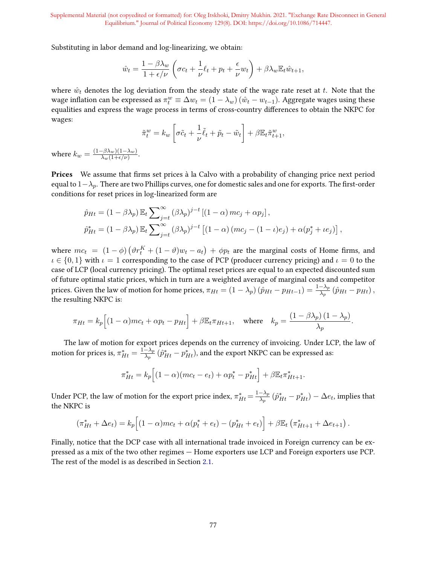Substituting in labor demand and log-linearizing, we obtain:

$$
\hat{w}_t = \frac{1 - \beta \lambda_w}{1 + \epsilon/\nu} \left( \sigma c_t + \frac{1}{\nu} \ell_t + p_t + \frac{\epsilon}{\nu} w_t \right) + \beta \lambda_w \mathbb{E}_t \hat{w}_{t+1},
$$

where  $\hat{w}_t$  denotes the log deviation from the steady state of the wage rate reset at t. Note that the wage inflation can be expressed as  $\pi_t^w \equiv \Delta w_t = (1-\lambda_w) (\hat{w}_t - w_{t-1})$ . Aggregate wages using these equalities and express the wage process in terms of cross-country differences to obtain the NKPC for wages:

$$
\tilde{\pi}_t^w = k_w \left[ \sigma \tilde{c}_t + \frac{1}{\nu} \tilde{\ell}_t + \tilde{p}_t - \tilde{w}_t \right] + \beta \mathbb{E}_t \tilde{\pi}_{t+1}^w,
$$

where  $k_w = \frac{(1-\beta\lambda_w)(1-\lambda_w)}{\lambda_w(1+\epsilon/\nu)}$  $\frac{-(\beta \lambda_w)(1-\lambda_w)}{\lambda_w(1+\epsilon/\nu)}.$ 

**Prices** We assume that firms set prices à la Calvo with a probability of changing price next period equal to  $1-\lambda_p$ . There are two Phillips curves, one for domestic sales and one for exports. The first-order conditions for reset prices in log-linearized form are

$$
\hat{p}_{Ht} = (1 - \beta \lambda_p) \mathbb{E}_t \sum_{j=t}^{\infty} (\beta \lambda_p)^{j-t} [(1 - \alpha) mc_j + \alpha p_j],
$$
  

$$
\hat{p}_{Ht}^* = (1 - \beta \lambda_p) \mathbb{E}_t \sum_{j=t}^{\infty} (\beta \lambda_p)^{j-t} [(1 - \alpha) (mc_j - (1 - \iota)e_j) + \alpha (p_j^* + \iota e_j)],
$$

where  $mc_t = (1 - \phi)(\vartheta r_t^K + (1 - \vartheta) w_t - a_t) + \varphi p_t$  are the marginal costs of Home firms, and  $\iota \in \{0,1\}$  with  $\iota = 1$  corresponding to the case of PCP (producer currency pricing) and  $\iota = 0$  to the case of LCP (local currency pricing). The optimal reset prices are equal to an expected discounted sum of future optimal static prices, which in turn are a weighted average of marginal costs and competitor prices. Given the law of motion for home prices,  $\pi_{Ht}=(1-\lambda_p)\,(\hat{p}_{Ht}-p_{Ht-1})=\frac{1-\lambda_p}{\lambda_p}\,(\hat{p}_{Ht}-p_{Ht})$  , the resulting NKPC is:

$$
\pi_{Ht} = k_p \Big[ (1 - \alpha)mc_t + \alpha p_t - p_{Ht} \Big] + \beta \mathbb{E}_t \pi_{Ht+1}, \quad \text{where} \quad k_p = \frac{(1 - \beta \lambda_p)(1 - \lambda_p)}{\lambda_p}.
$$

The law of motion for export prices depends on the currency of invoicing. Under LCP, the law of motion for prices is,  $\pi^*_{Ht} = \frac{1-\lambda_p}{\lambda_p}$  $\frac{-\lambda_p}{\lambda_p}\,(\hat{p}^*_{Ht}-p^*_{Ht}),$  and the export NKPC can be expressed as:

$$
\pi_{Ht}^* = k_p \Big[ (1 - \alpha)(mc_t - e_t) + \alpha p_t^* - p_{Ht}^* \Big] + \beta \mathbb{E}_t \pi_{Ht+1}^*.
$$

Under PCP, the law of motion for the export price index,  $\pi_{Ht}^{*} = \frac{1 - \lambda_p}{\lambda_p}$  $\frac{-\lambda_p}{\lambda_p}\left(\hat{p}^*_{Ht} - p^*_{Ht}\right) - \Delta e_t$ , implies that the NKPC is

$$
(\pi_{Ht}^* + \Delta e_t) = k_p \Big[ (1 - \alpha)mc_t + \alpha(p_t^* + e_t) - (p_{Ht}^* + e_t) \Big] + \beta \mathbb{E}_t \left( \pi_{Ht+1}^* + \Delta e_{t+1} \right).
$$

Finally, notice that the DCP case with all international trade invoiced in Foreign currency can be expressed as a mix of the two other regimes — Home exporters use LCP and Foreign exporters use PCP. The rest of the model is as described in Section 2.1.